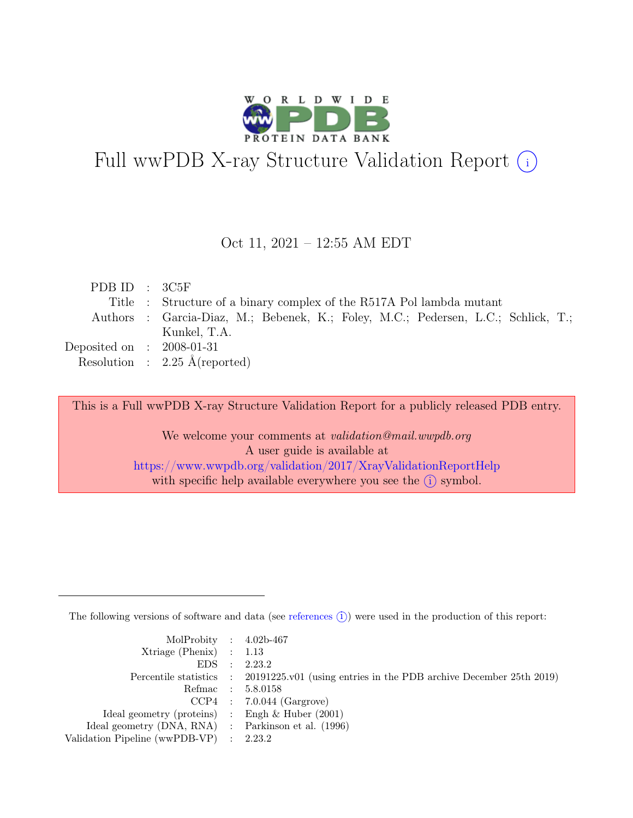

# Full wwPDB X-ray Structure Validation Report  $(i)$

#### Oct 11, 2021 – 12:55 AM EDT

| PDB ID : $3C5F$             |                                                                                   |
|-----------------------------|-----------------------------------------------------------------------------------|
|                             | Title : Structure of a binary complex of the R517A Pol lambda mutant              |
|                             | Authors : Garcia-Diaz, M.; Bebenek, K.; Foley, M.C.; Pedersen, L.C.; Schlick, T.; |
|                             | Kunkel, T.A.                                                                      |
| Deposited on : $2008-01-31$ |                                                                                   |
|                             | Resolution : $2.25 \text{ Å}$ (reported)                                          |

This is a Full wwPDB X-ray Structure Validation Report for a publicly released PDB entry.

We welcome your comments at *validation@mail.wwpdb.org* A user guide is available at <https://www.wwpdb.org/validation/2017/XrayValidationReportHelp> with specific help available everywhere you see the  $(i)$  symbol.

The following versions of software and data (see [references](https://www.wwpdb.org/validation/2017/XrayValidationReportHelp#references)  $(i)$ ) were used in the production of this report:

| MolProbity : $4.02b-467$                            |                                                                                            |
|-----------------------------------------------------|--------------------------------------------------------------------------------------------|
| $Xtriangle (Phenix)$ : 1.13                         |                                                                                            |
|                                                     | EDS : 2.23.2                                                                               |
|                                                     | Percentile statistics : 20191225.v01 (using entries in the PDB archive December 25th 2019) |
|                                                     | Refmac : 5.8.0158                                                                          |
|                                                     | $CCP4$ : 7.0.044 (Gargrove)                                                                |
| Ideal geometry (proteins) : Engh $\&$ Huber (2001)  |                                                                                            |
| Ideal geometry (DNA, RNA) : Parkinson et al. (1996) |                                                                                            |
| Validation Pipeline (wwPDB-VP) : 2.23.2             |                                                                                            |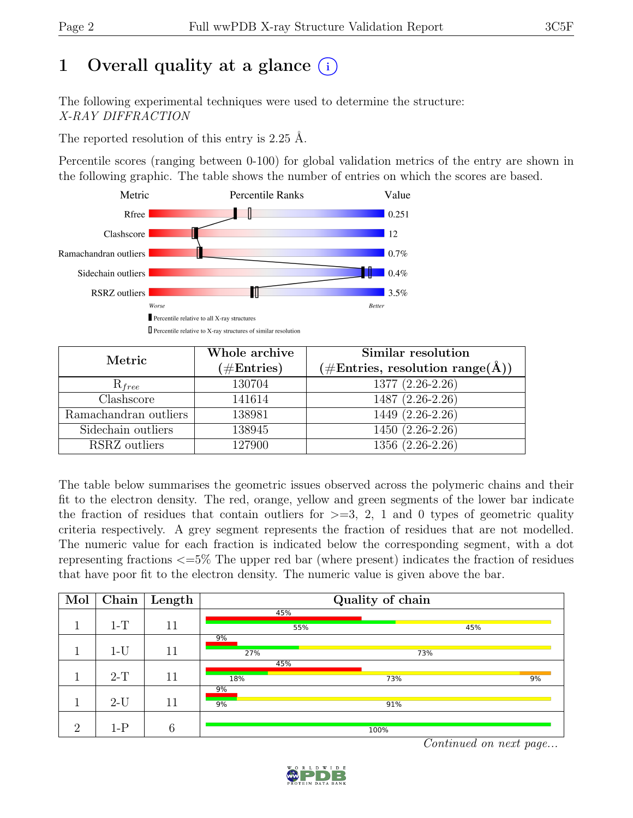# 1 Overall quality at a glance  $(i)$

The following experimental techniques were used to determine the structure: X-RAY DIFFRACTION

The reported resolution of this entry is 2.25 Å.

Percentile scores (ranging between 0-100) for global validation metrics of the entry are shown in the following graphic. The table shows the number of entries on which the scores are based.



| Metric                | Whole archive<br>$(\#Entries)$ | Similar resolution<br>$(\# \text{Entries}, \text{ resolution } \text{range}(\AA))$ |  |  |
|-----------------------|--------------------------------|------------------------------------------------------------------------------------|--|--|
| $R_{free}$            | 130704                         | 1377 (2.26-2.26)                                                                   |  |  |
| Clashscore            | 141614                         | 1487 (2.26-2.26)                                                                   |  |  |
| Ramachandran outliers | 138981                         | $1449(2.26-2.26)$                                                                  |  |  |
| Sidechain outliers    | 138945                         | $1450(2.26-2.26)$                                                                  |  |  |
| RSRZ outliers         | 127900                         | 1356 (2.26-2.26)                                                                   |  |  |

The table below summarises the geometric issues observed across the polymeric chains and their fit to the electron density. The red, orange, yellow and green segments of the lower bar indicate the fraction of residues that contain outliers for  $\geq$ =3, 2, 1 and 0 types of geometric quality criteria respectively. A grey segment represents the fraction of residues that are not modelled. The numeric value for each fraction is indicated below the corresponding segment, with a dot representing fractions <=5% The upper red bar (where present) indicates the fraction of residues that have poor fit to the electron density. The numeric value is given above the bar.

| $\operatorname{Mol}$ | <b>Chain</b> | $\sqrt{\frac{1}{2}}$ Length | Quality of chain |                           |     |    |  |
|----------------------|--------------|-----------------------------|------------------|---------------------------|-----|----|--|
|                      |              |                             | 45%              |                           |     |    |  |
|                      | $1-T$        | 11                          | 55%              |                           | 45% |    |  |
|                      |              |                             | 9%               |                           |     |    |  |
|                      | $1-U$        | 11                          | 27%              | 73%                       |     |    |  |
|                      |              |                             | 45%              |                           |     |    |  |
|                      | $2-T$        | 11                          | 18%              | 73%                       |     | 9% |  |
|                      |              |                             | 9%               |                           |     |    |  |
|                      | $2-U$        | 11                          | 9%               | 91%                       |     |    |  |
|                      |              |                             |                  |                           |     |    |  |
| $\Omega$             | $1-P$        | $\boldsymbol{6}$            |                  | 100%<br><b>CONTRACTOR</b> |     |    |  |

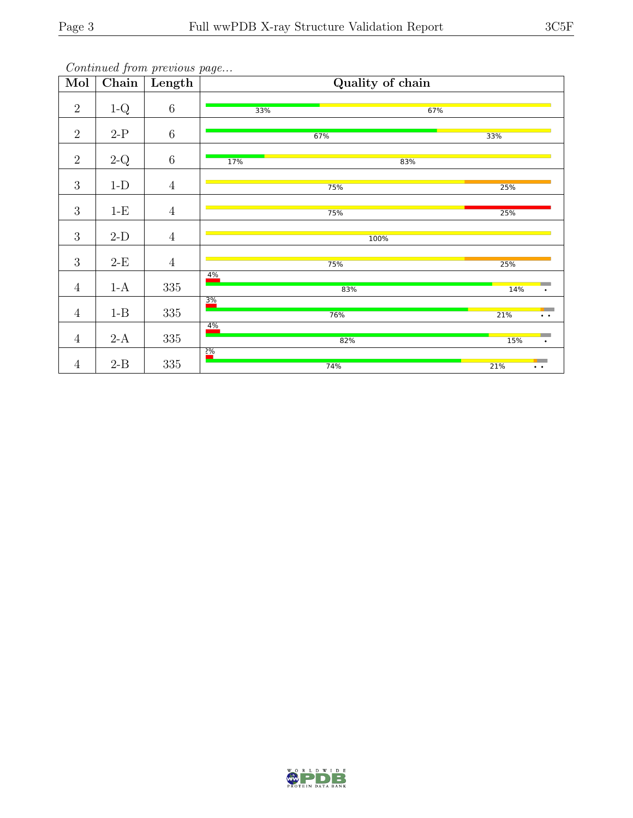| Mol            | Chain              | Length         |                 | Quality of chain |                            |
|----------------|--------------------|----------------|-----------------|------------------|----------------------------|
| $\overline{2}$ | $1-Q$              | $\,6\,$        | 33%             | 67%              |                            |
| $\overline{2}$ | $2-P$              | $\,6\,$        |                 | 67%              | 33%                        |
| $\overline{2}$ | $2-Q$              | $\,6\,$        | 17%             | 83%              |                            |
| 3              | $1-D$              | $\overline{4}$ |                 | 75%              | 25%                        |
| 3              | $1-E$              | $\overline{4}$ |                 | 75%              | 25%                        |
| $\sqrt{3}$     | $2-D$              | $\overline{4}$ |                 | 100%             |                            |
| 3              | $2\mbox{-}{\rm E}$ | $\overline{4}$ |                 | 75%              | 25%                        |
| $\overline{4}$ | $1-A$              | $335\,$        | 4%              | 83%              | <b>14%</b><br>$\bullet$    |
| $\overline{4}$ | $1 - B$            | $335\,$        | $\frac{3\%}{ }$ | 76%              | 21%<br>$\bullet$ $\bullet$ |
| $\sqrt{4}$     | $2-A$              | $335\,$        | 4%              | 82%              | 15%<br>$\bullet$           |
| $\overline{4}$ | $2-B$              | 335            | $\frac{2\%}{2}$ | 74%              | 21%<br>$\bullet$ $\bullet$ |

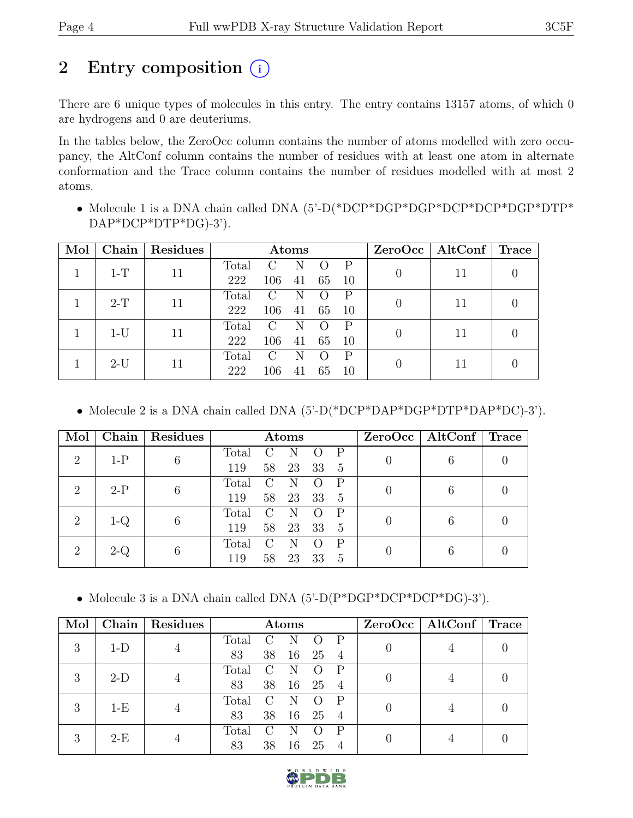# 2 Entry composition  $(i)$

There are 6 unique types of molecules in this entry. The entry contains 13157 atoms, of which 0 are hydrogens and 0 are deuteriums.

In the tables below, the ZeroOcc column contains the number of atoms modelled with zero occupancy, the AltConf column contains the number of residues with at least one atom in alternate conformation and the Trace column contains the number of residues modelled with at most 2 atoms.

• Molecule 1 is a DNA chain called DNA  $(5'-D(*DCP*DGP*DCP*DCP*DCP*DTP*C)$ DAP\*DCP\*DTP\*DG)-3').

| Mol   | Chain | Residues | Atoms |                        |    |    |    |  | $ZeroOcc \mid AltConf \mid Trace$ |  |
|-------|-------|----------|-------|------------------------|----|----|----|--|-----------------------------------|--|
|       | $1-T$ | 11       | Total | $\mathcal{C}$          | N  |    |    |  | 11                                |  |
|       |       |          | 222   | 106                    | 41 | 65 | 10 |  |                                   |  |
|       | $2-T$ | 11       | Total | $\left( \cdot \right)$ |    |    |    |  | 11                                |  |
|       |       | 222      | 106   | 41                     | 65 | 10 |    |  |                                   |  |
|       | $1-U$ | 11       | Total | $\left( \cdot \right)$ |    |    |    |  | 11                                |  |
|       |       |          | 222   | 106                    | 41 | 65 | 10 |  |                                   |  |
|       |       | 11       | Total | €                      |    |    |    |  |                                   |  |
| $2-U$ |       |          | 222   | 106                    | 41 | 65 | 10 |  | 11                                |  |

• Molecule 2 is a DNA chain called DNA  $(5'-D(*DCP*DAP*DGP*DTP*DAP*DC)-3')$ .

| Mol            | Chain                            | Residues | Atoms |               |    |    |                |                | $ZeroOcc \mid AltConf \mid$ | Trace |
|----------------|----------------------------------|----------|-------|---------------|----|----|----------------|----------------|-----------------------------|-------|
| $\overline{2}$ | $1-P$                            | 6        | Total |               |    |    | P              | 0              | 6                           |       |
|                |                                  |          | 119   | 58            | 23 | 33 | $\overline{5}$ |                |                             |       |
| $\overline{2}$ | $2-P$                            | 6        | Total | $\mathcal{C}$ | N  |    | P              | 0              | 6                           |       |
|                |                                  |          | 119   | 58            | 23 | 33 | 5              |                |                             |       |
| $\overline{2}$ | 1-Q                              | 6        | Total |               |    |    | P              | $\overline{0}$ | 6                           |       |
|                |                                  |          | 119   | 58            | 23 | 33 | $\frac{5}{2}$  |                |                             |       |
|                | $\overline{2}$<br>$2-\mathrm{Q}$ | 6        | Total |               |    |    | P              | 0              | 6                           |       |
|                |                                  |          | 119   | 58            | 23 | 33 | 5              |                |                             |       |

• Molecule 3 is a DNA chain called DNA (5'-D(P\*DGP\*DCP\*DCP\*DG)-3').

| Mol        |       | Chain   Residues | Atoms                                               |               |           |    |                | $ZeroOcc \mid AltConf \mid Trace$ |  |
|------------|-------|------------------|-----------------------------------------------------|---------------|-----------|----|----------------|-----------------------------------|--|
| 3          | $1-D$ | $\overline{4}$   | Total                                               | $\mathcal{C}$ | N         |    |                |                                   |  |
|            |       |                  | 83                                                  | 38            | <b>16</b> | 25 | -4             |                                   |  |
| 3          | $2-D$ |                  | Total                                               | $\mathcal{C}$ | N         |    |                |                                   |  |
|            | 4     | 83               | 38                                                  | 16            | 25        | -4 |                |                                   |  |
|            | $1-E$ |                  | Total                                               | $\mathbf C$   | N         |    |                |                                   |  |
| 3          | 4     | 83               | 38                                                  | 16            | 25        | -4 |                |                                   |  |
| $2-E$<br>3 |       | $\text{Total}$   | $\left( \begin{array}{c} \cdot \end{array} \right)$ |               |           |    |                |                                   |  |
|            |       |                  | 83                                                  | 38            | 16        | 25 | $\overline{4}$ |                                   |  |

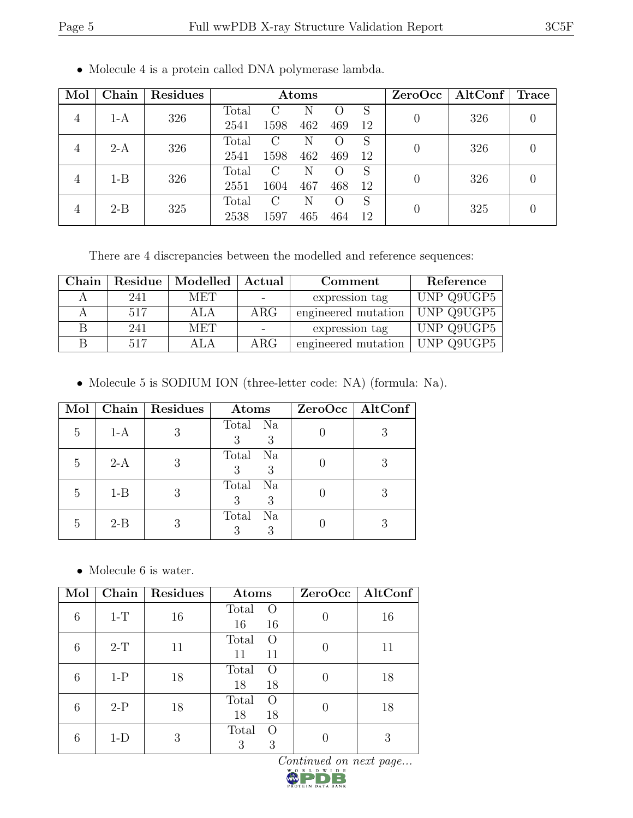| Mol            | Chain   | Residues | Atoms |     |        |                  |   | ZeroOcc | $\operatorname{AltConf}$ | Trace ' |
|----------------|---------|----------|-------|-----|--------|------------------|---|---------|--------------------------|---------|
| $1-A$<br>4     | 326     | Total    |       |     |        | S                |   | 326     |                          |         |
|                |         | 2541     | 1598  | 462 | 469    | 12               |   |         |                          |         |
|                |         | 326      | Total | С   | N      | $\left( \right)$ | S |         | 326                      |         |
| $2-A$<br>4     |         | 2541     | 1598  | 462 | 469    | 12               |   |         |                          |         |
| $\overline{4}$ | $1 - B$ | 326      | Total | C   | N      | $\left( \right)$ | S |         | 326                      |         |
|                |         | 2551     | 1604  | 467 | 468    | -12              |   |         |                          |         |
| $2 - B$<br>4   | 325     | Total    | C     |     | $\cup$ | S                |   | 325     |                          |         |
|                |         | 2538     | 1597  | 465 | 464    | 12               |   |         |                          |         |

• Molecule 4 is a protein called DNA polymerase lambda.

There are 4 discrepancies between the modelled and reference sequences:

| Chain | Residue | Modelled   | Actual          | Comment             | Reference  |
|-------|---------|------------|-----------------|---------------------|------------|
|       | 241     | MET        | $\qquad \qquad$ | expression tag      | UNP Q9UGP5 |
|       | 517     | ALA        | $\rm{ARG}$      | engineered mutation | UNP Q9UGP5 |
|       | 241     | <b>MET</b> |                 | expression tag      | UNP Q9UGP5 |
|       | 517     | A L A      | $\rm{ARG}$      | engineered mutation | UNP Q9UGP5 |

• Molecule 5 is SODIUM ION (three-letter code: NA) (formula: Na).

| Mol |         | Chain   Residues | Atoms              | $ZeroOcc$   AltConf |
|-----|---------|------------------|--------------------|---------------------|
| 5   | $1-A$   |                  | Total Na<br>3<br>3 |                     |
| 5   | $2-A$   | 3                | Total Na<br>3<br>3 |                     |
| 5   | $1 - B$ | 3                | Total Na<br>3<br>3 |                     |
| 5   | $2 - B$ |                  | Total Na<br>3<br>3 |                     |

 $\bullet\,$  Molecule 6 is water.

| Mol |       | Chain   Residues | Atoms                                 | $ZeroOcc \mid AltConf \mid$ |
|-----|-------|------------------|---------------------------------------|-----------------------------|
| 6   | $1-T$ | 16               | Total<br>$\left( \right)$<br>16<br>16 | 16                          |
| 6   | $2-T$ | 11               | Total<br>$\left( \right)$<br>11<br>11 | 11                          |
| 6   | $1-P$ | 18               | Total<br>$\left( \right)$<br>18<br>18 | 18                          |
| 6   | $2-P$ | 18               | Total<br>$\Omega$<br>18<br>18         | 18                          |
|     | $1-D$ | 3                | Total<br>$\left( \right)$<br>3<br>3   | 3                           |

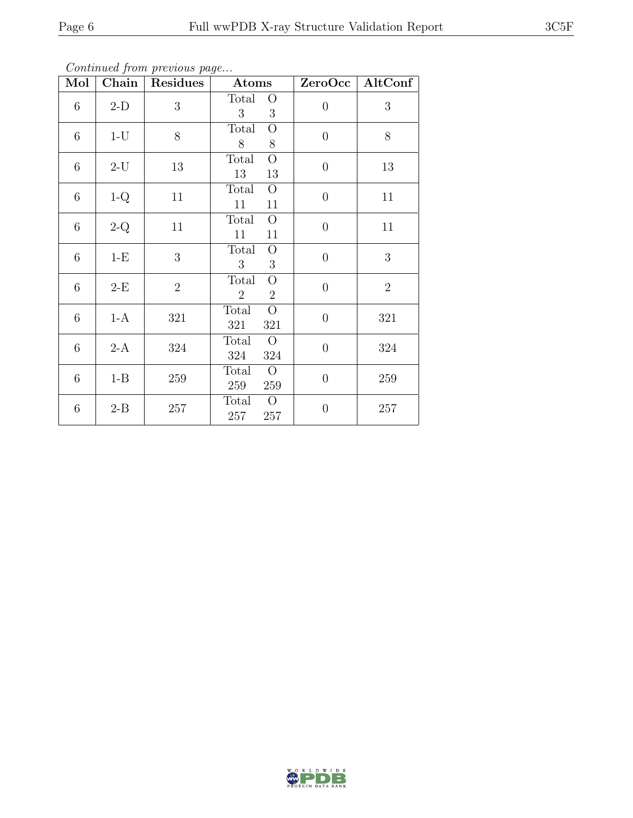| Mol             | $\boldsymbol{\omega}$<br>Chain | <b>Residues</b> | $\bold{Atoms}$                                              |                  | ZeroOcc   AltConf |
|-----------------|--------------------------------|-----------------|-------------------------------------------------------------|------------------|-------------------|
| $6\phantom{.}6$ | $2-D$                          | $\overline{3}$  | Total O<br>3 <sup>1</sup><br>3                              | $\theta$         | 3                 |
| 6               | $1-U$                          | 8               | Total<br>$\overline{O}$<br>8<br>8                           | $\theta$         | 8                 |
| $6\phantom{.}6$ | $2-U$                          | 13              | $\overline{O}$<br>Total<br>13<br>13                         | $\overline{0}$   | 13                |
| $6\phantom{.}6$ | $1-Q$                          | 11              | $\overline{O}$<br>Total<br>11<br>11                         | $\boldsymbol{0}$ | 11                |
| $6\phantom{.}6$ | $2-Q$                          | 11              | $\overline{O}$<br>Total<br>11<br>11                         | $\overline{0}$   | 11                |
| $6\phantom{.}$  | $1-E$                          | 3               | $\overline{O}$<br>Total<br>3<br>3 <sup>1</sup>              | $\boldsymbol{0}$ | 3                 |
| $6\phantom{.}6$ | $2-E$                          | $\overline{2}$  | $\overline{O}$<br>Total<br>2 <sup>1</sup><br>$\overline{2}$ | $\overline{0}$   | $\overline{2}$    |
| $6\phantom{.}6$ | $1-A$                          | 321             | $\overline{O}$<br>Total<br>321<br>321                       | $\overline{0}$   | 321               |
| $6\phantom{.}$  | $2-A$                          | 324             | $\overline{O}$<br>Total<br>324<br>324                       | $\boldsymbol{0}$ | 324               |
| $6\phantom{.}6$ | $1 - B$                        | 259             | $\overline{O}$<br>Total<br>259<br>259                       | $\overline{0}$   | 259               |
| 6               | $2 - B$                        | 257             | $\overline{O}$<br>Total<br>$257\quad 257$                   | $\boldsymbol{0}$ | 257               |

Continued from previous page...

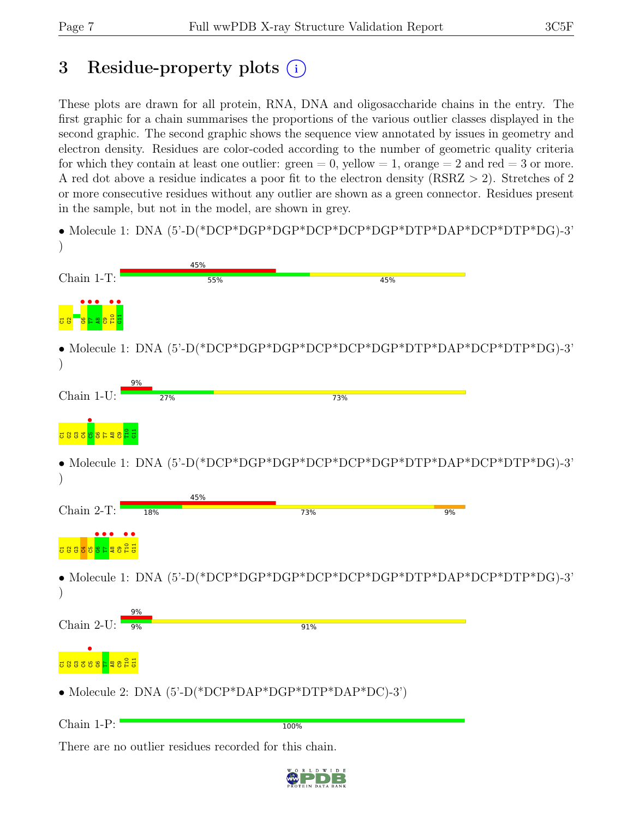# 3 Residue-property plots (i)

These plots are drawn for all protein, RNA, DNA and oligosaccharide chains in the entry. The first graphic for a chain summarises the proportions of the various outlier classes displayed in the second graphic. The second graphic shows the sequence view annotated by issues in geometry and electron density. Residues are color-coded according to the number of geometric quality criteria for which they contain at least one outlier:  $green = 0$ , yellow  $= 1$ , orange  $= 2$  and red  $= 3$  or more. A red dot above a residue indicates a poor fit to the electron density (RSRZ > 2). Stretches of 2 or more consecutive residues without any outlier are shown as a green connector. Residues present in the sample, but not in the model, are shown in grey.



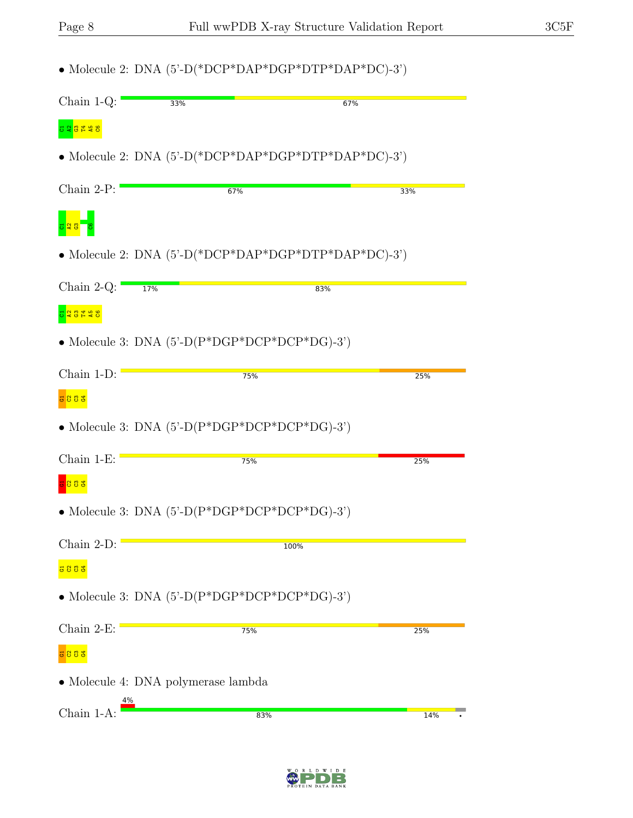|                                |     | • Molecule 2: DNA $(5'-D(*DCP*DAP*DGP*DTP*DAP*DC)-3')$           |     |
|--------------------------------|-----|------------------------------------------------------------------|-----|
| Chain $1-Q$ :                  | 33% | 67%                                                              |     |
| <mark>ភេទី ដូក និ</mark>       |     |                                                                  |     |
|                                |     | • Molecule 2: DNA $(5'-D(*DCP*DAP*DGP*DTP*DAP*DC)-3')$           |     |
| Chain 2-P:                     |     | 67%                                                              | 33% |
|                                |     |                                                                  |     |
|                                |     | • Molecule 2: DNA $(5'-D(*DCP*DAP*DGP*DTP*DAP*DC)-3')$           |     |
| Chain 2-Q: $\frac{17\%}{17\%}$ |     | 83%                                                              |     |
| <mark>ភ្នាំ និង គី ន</mark>    |     |                                                                  |     |
|                                |     | • Molecule 3: DNA $(5^{\circ}D(P^*DGP^*DCP^*DCP^*DG)-3^{\circ})$ |     |
| Chain 1-D:                     |     | 75%                                                              | 25% |
| <mark>ន ខ ខ ឌ</mark>           |     |                                                                  |     |
|                                |     | • Molecule 3: DNA $(5^{\circ}$ -D(P*DGP*DCP*DCP*DG)-3')          |     |
| Chain $1-E$ :                  |     | 75%                                                              | 25% |
| 383                            |     |                                                                  |     |
|                                |     | • Molecule 3: DNA $(5^{\circ}$ -D $(P^*DGP^*DCP^*DCP^*DG)$ -3')  |     |
| Chain 2-D:                     |     | 100%                                                             |     |
| <b>3883</b>                    |     |                                                                  |     |
|                                |     | • Molecule 3: DNA $(5^{\circ}$ -D(P*DGP*DCP*DCP*DG)-3')          |     |
| Chain $2-E$ :                  |     | 75%                                                              | 25% |
| <b>3833</b>                    |     |                                                                  |     |
|                                |     | $\bullet$ Molecule 4: DNA polymerase lambda                      |     |
| 4%<br>Chain 1-A:               |     | 83%                                                              | 14% |
|                                |     |                                                                  |     |

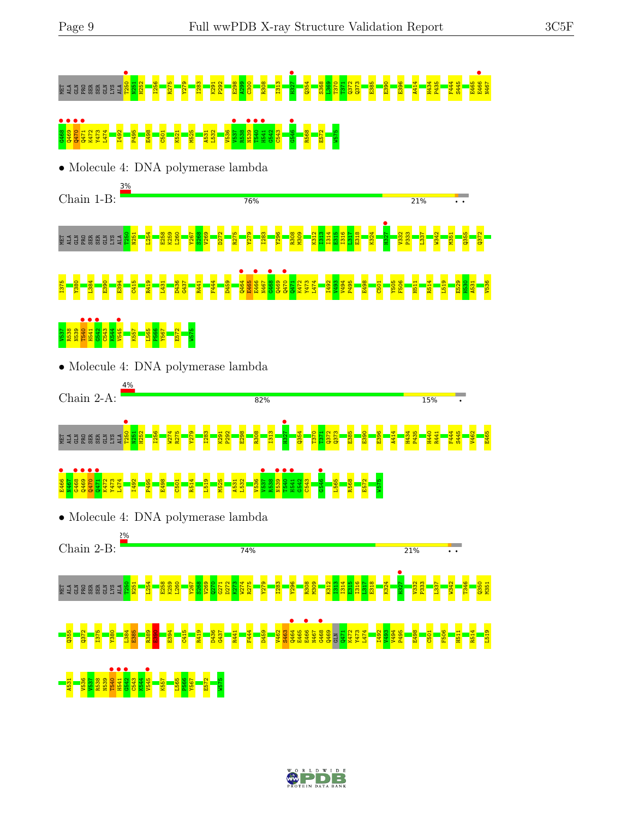#### MET ALA GLOBO PRO SER GLUN PRO SER GLUN DE LA SER GLUN DE LA SER GLUN DE LA SER GLUN DE LA SER GLUN DE LA SER<br>De la ser glun de la ser de la ser de la ser de la ser de la ser de la ser de la ser de la ser de la ser de la **C468 • Q470 • Q470 • Q471 • Q471 • Q471 • Q471 • C501 • C501 • C501 • C501 • C541 P40 • C542 C543 G546 · R568 <br>88 P54 E572 P540 • R541 <mark>- R541 • R541 • R541 • R568 e573 e573 G546 • R568 E572 W5756 • R568 E572 W5756 • R568**</mark> • Molecule 4: DNA polymerase lambda Chain 1-B: 76% 21% **H327** T250 N251 L254 E258 K259 L260 Y267 S268 V269 D272 R275 Y279 I283 Y296 R308 M309 K312 I313 I314  $\frac{15}{15}$ I316  $\frac{17}{2}$ E318 K324 V332 P333 L337 W342 M351 Q355 Q372 ALA GEBER SER S  $Q464$  • **E466** •  $\begin{array}{c} \bullet \\ \bullet \\ \bullet \\ \bullet \end{array}$ Q470 • Y380 L384 E390 E394 D436 G437 F444 N467 Y473 L474 V493 V494 E498 F506 R514  $\frac{80}{25}$ V536 I375 C415 R419 L431 R441 D459 E465 Q469  $\frac{1}{2}$ K472 I492 P495 C501 Y505 H511 L519 E529 A531 T540 **•**  $\frac{1}{1541}$ **G542**<br>C543<br>K544<br>V545 ●  $V537$ R538 N539 k5<mark>57</mark><br>L<mark>565</mark> P566<br><mark>Y567</mark> E572 W575 • Molecule 4: DNA polymerase lambda Chain 2-A: 82% 15%  $\frac{1250}{1250}$ H327 • N251 H252 I256 W274 R275 Y279 I283 K291 P292 E298 R308 I313 Q354 T370 T371  $2372$ Q373 E385 E390 E396 A414 H434 P435 H440 R441 F444 S445 V462 E465 **ELA BRESSER** ALA E466 •  $\frac{1}{\sqrt{2}}$ **•**<br>0469<br>0470 **•**<br>Pazz<br>Pazz **Q**<br> $\frac{1}{1}$   $\frac{1}{1}$  $V537$   $V537$  $\frac{1}{10}$ T540 •  $\frac{1}{1541}$ G546 N467 Y473 L474 E498 R514 R538 C543 R568 K472 I492 P495 C501 L519 M525 A531 L532 V536 G542 L565 E572 W575 • Molecule 4: DNA polymerase lambda Chain 2-B: 74% **21% H327** T250 N251 L254 E258 K259 L260 Y267 S268 V269  $\frac{270}{2}$  $G271$ D272 K273 W274 R275 Y279 I283 Y296 R308 M309 K312 I313 I314 E315 I316  $\frac{17}{2}$ E318 K324 V332 P333 L337 W342 T346 Q350 M351 ALA SER BESIT V462 S463 Q464 • E465 E466 • N467 G468 • Q469 GLN Q355  $\frac{2}{3}$ I375 Y380 L384 E385 R389  $\frac{8}{2}$ E394 C415 R419 D436 G437 R441 F444 D459 Q471 K472 Y473 L474 I492 V493 V494 P495 E498 C501 F506 H511 R514 L519 T540 • H541 • G542 • C543 K544 V545 • K557 A531 V536 V537 R538 N539 L565 P566 Y567 E572 W575

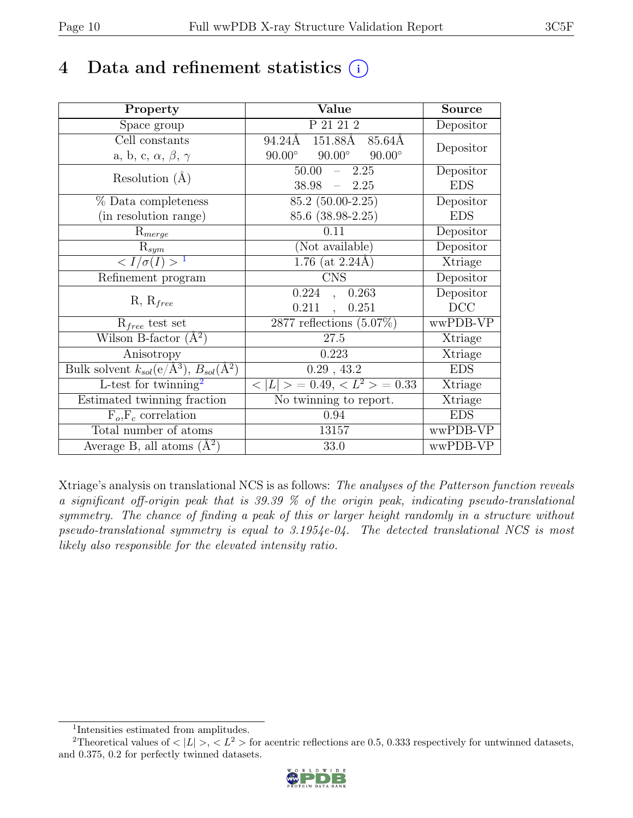### 4 Data and refinement statistics  $(i)$

| Property                                                             | Value                                           | <b>Source</b>                |
|----------------------------------------------------------------------|-------------------------------------------------|------------------------------|
| Space group                                                          | $P\overline{21\ 21\ 2}$                         | Depositor                    |
| Cell constants                                                       | 151.88Å<br>94.24Å<br>85.64Å                     | Depositor                    |
| a, b, c, $\alpha$ , $\beta$ , $\gamma$                               | $90.00^\circ$<br>$90.00^\circ$<br>$90.00^\circ$ |                              |
| Resolution $(A)$                                                     | 50.00<br>2.25                                   | Depositor                    |
|                                                                      | 38.98<br>$-2.25$                                | <b>EDS</b>                   |
| % Data completeness                                                  | $\overline{85.2}$ (50.00-2.25)                  | Depositor                    |
| (in resolution range)                                                | 85.6 (38.98-2.25)                               | <b>EDS</b>                   |
| $R_{merge}$                                                          | 0.11                                            | Depositor                    |
| $R_{sym}$                                                            | (Not available)                                 | Depositor                    |
| $\langle I/\sigma(I) \rangle^{-1}$                                   | $1.76$ (at 2.24Å)                               | Xtriage                      |
| Refinement program                                                   | <b>CNS</b>                                      | Depositor                    |
| $R, R_{free}$                                                        | 0.224<br>0.263<br>$\ddot{\phantom{1}}$          | Depositor                    |
|                                                                      | 0.211<br>0.251                                  | DCC                          |
| $R_{free}$ test set                                                  | 2877 reflections $(5.07\%)$                     | wwPDB-VP                     |
| Wilson B-factor $(A^2)$                                              | 27.5                                            | Xtriage                      |
| Anisotropy                                                           | 0.223                                           | Xtriage                      |
| Bulk solvent $k_{sol}(e/\mathring{A}^3)$ , $B_{sol}(\mathring{A}^2)$ | $0.29$ , 43.2                                   | <b>EDS</b>                   |
| L-test for twinning <sup>2</sup>                                     | $< L >$ = 0.49, $< L^2 >$ = 0.33                | $\overline{\text{X}}$ triage |
| Estimated twinning fraction                                          | No twinning to report.                          | Xtriage                      |
| $\overline{F_o,F_c}$ correlation                                     | 0.94                                            | <b>EDS</b>                   |
| Total number of atoms                                                | 13157                                           | wwPDB-VP                     |
| Average B, all atoms $(A^2)$                                         | 33.0                                            | wwPDB-VP                     |

Xtriage's analysis on translational NCS is as follows: The analyses of the Patterson function reveals a significant off-origin peak that is 39.39 % of the origin peak, indicating pseudo-translational symmetry. The chance of finding a peak of this or larger height randomly in a structure without pseudo-translational symmetry is equal to 3.1954e-04. The detected translational NCS is most likely also responsible for the elevated intensity ratio.

<sup>&</sup>lt;sup>2</sup>Theoretical values of  $\langle |L| \rangle$ ,  $\langle L^2 \rangle$  for acentric reflections are 0.5, 0.333 respectively for untwinned datasets, and 0.375, 0.2 for perfectly twinned datasets.



<span id="page-9-1"></span><span id="page-9-0"></span><sup>1</sup> Intensities estimated from amplitudes.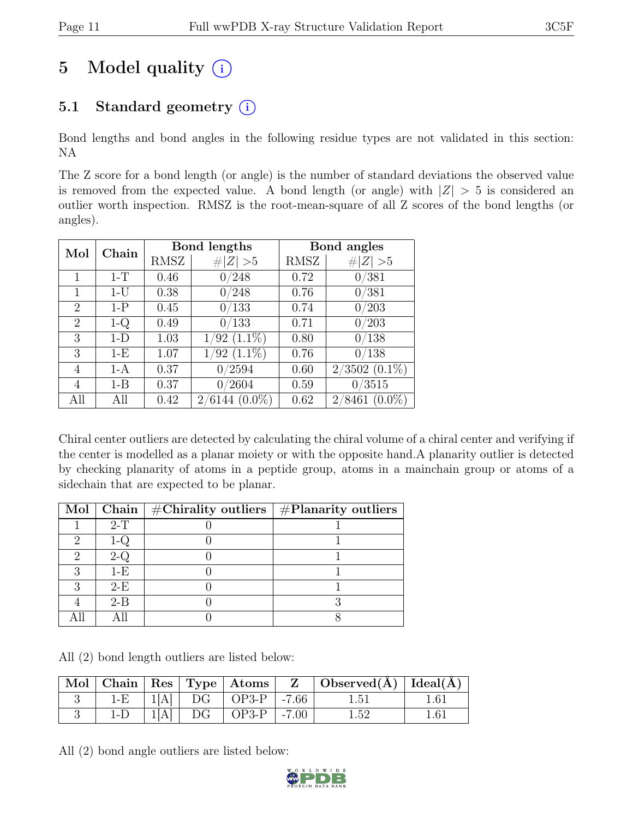# 5 Model quality  $(i)$

### 5.1 Standard geometry  $(i)$

Bond lengths and bond angles in the following residue types are not validated in this section: NA

The Z score for a bond length (or angle) is the number of standard deviations the observed value is removed from the expected value. A bond length (or angle) with  $|Z| > 5$  is considered an outlier worth inspection. RMSZ is the root-mean-square of all Z scores of the bond lengths (or angles).

| Mol            | Chain   |      | <b>Bond lengths</b> | Bond angles |                     |
|----------------|---------|------|---------------------|-------------|---------------------|
|                |         | RMSZ | $\# Z  > 5$         | RMSZ        | $\# Z  > 5$         |
|                | $1-T$   | 0.46 | 0/248               | 0.72        | 0/381               |
| 1              | $1-U$   | 0.38 | 0/248               | 0.76        | 0/381               |
| $\overline{2}$ | $1-P$   | 0.45 | 0/133               | 0.74        | 0/203               |
| $\overline{2}$ | $1-Q$   | 0.49 | 0/133               | 0.71        | 0/203               |
| 3              | $1-D$   | 1.03 | $(1.1\%)$<br>1/92   | 0.80        | 0/138               |
| 3              | $1-E$   | 1.07 | $1/92$ $(1.1\%)$    | 0.76        | 0/138               |
| 4              | $1-A$   | 0.37 | 0/2594              | 0.60        | $2/3502$ $(0.1\%)$  |
| 4              | $1 - B$ | 0.37 | 0/2604              | 0.59        | 0/3515              |
| All            | All     | 0.42 | $2/6144~(0.0\%)$    | 0.62        | $(0.0\%)$<br>2/8461 |

Chiral center outliers are detected by calculating the chiral volume of a chiral center and verifying if the center is modelled as a planar moiety or with the opposite hand.A planarity outlier is detected by checking planarity of atoms in a peptide group, atoms in a mainchain group or atoms of a sidechain that are expected to be planar.

|   |         | Mol   Chain   $\#\text{Chirality outliers}$   $\#\text{Planarity outliers}$ |  |
|---|---------|-----------------------------------------------------------------------------|--|
|   | $2-T$   |                                                                             |  |
| ച | 1-Q     |                                                                             |  |
|   |         |                                                                             |  |
|   | $1-E$   |                                                                             |  |
|   | $2-E$   |                                                                             |  |
|   | $2 - B$ |                                                                             |  |
|   |         |                                                                             |  |

All (2) bond length outliers are listed below:

|       |  |                             | $\mid$ Mol $\mid$ Chain $\mid$ Res $\mid$ Type $\mid$ Atoms $\mid$ $\mid$ $\mid$ $\mid$ Observed(Å) $\mid$ Ideal(Å) $\mid$ |  |
|-------|--|-----------------------------|----------------------------------------------------------------------------------------------------------------------------|--|
| $1-E$ |  | $ 1[A] $ DG $ OP3-P $ -7.66 | 1.51                                                                                                                       |  |
|       |  | $1[A]$ DG   OP3-P   -7.00   | $1.52\,$                                                                                                                   |  |

All (2) bond angle outliers are listed below:

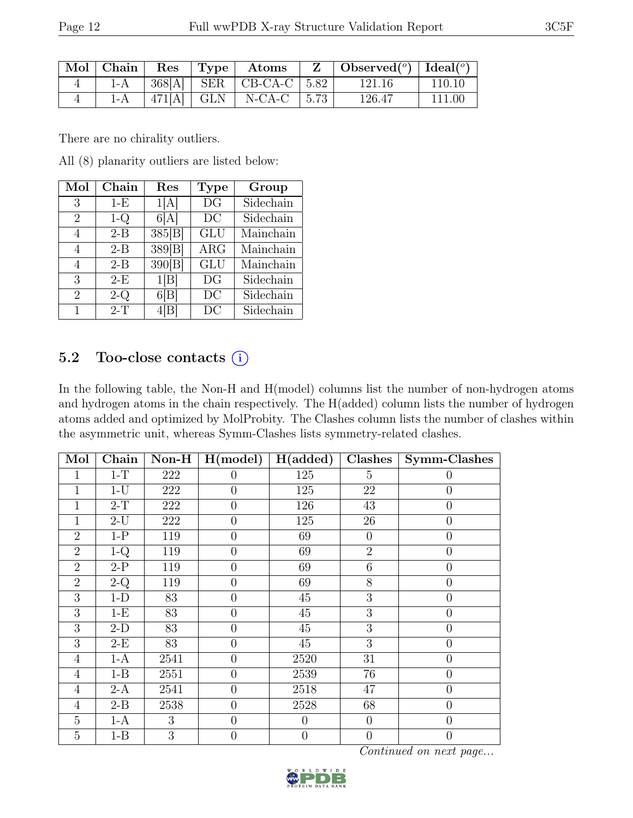| $\mid$ Mol $\mid$ Chain $\mid$ |  | Res   Type   Atoms                  | $\mathbf{Z}$   Observed( $^o$ )   Ideal( $^o$ ) |        |
|--------------------------------|--|-------------------------------------|-------------------------------------------------|--------|
|                                |  | 1-A   368[A]   SER   CB-CA-C   5.82 | - 121.16                                        | 110.10 |
| $1-A$                          |  | $ 471[A]$ GLN $ $ N-CA-C $ 5.73$    | 126.47                                          | 111.00 |

There are no chirality outliers.

All (8) planarity outliers are listed below:

| $\operatorname{Mol}$ | Chain   | Res    | <b>Type</b> | Group     |
|----------------------|---------|--------|-------------|-----------|
| 3                    | $1-E$   | 1[A]   | DG          | Sidechain |
| 2                    | $1-Q$   | 6[A]   | DC          | Sidechain |
| 4                    | $2 - B$ | 385[B] | <b>GLU</b>  | Mainchain |
| 4                    | $2 - B$ | 389[B] | ARG         | Mainchain |
| 4                    | $2 - B$ | 390[B] | <b>GLU</b>  | Mainchain |
| 3                    | $2-E$   | 1[B]   | DG          | Sidechain |
| 2                    | $2-Q$   | 6[B]   | DC          | Sidechain |
|                      | $2-T$   |        | DС          | Sidechain |

#### 5.2 Too-close contacts (i)

In the following table, the Non-H and H(model) columns list the number of non-hydrogen atoms and hydrogen atoms in the chain respectively. The H(added) column lists the number of hydrogen atoms added and optimized by MolProbity. The Clashes column lists the number of clashes within the asymmetric unit, whereas Symm-Clashes lists symmetry-related clashes.

| Mol            | Chain   | $\mathbf{Non-H}$ | H (model)      | H(added)       | Clashes         | Symm-Clashes     |
|----------------|---------|------------------|----------------|----------------|-----------------|------------------|
| 1              | $1-T$   | 222              | $\theta$       | 125            | $5\overline{)}$ | $\overline{0}$   |
| 1              | $1-U$   | 222              | $\overline{0}$ | 125            | 22              | $\overline{0}$   |
| 1              | $2-T$   | 222              | $\overline{0}$ | 126            | 43              | $\overline{0}$   |
| 1              | $2-U$   | 222              | $\overline{0}$ | 125            | 26              | $\overline{0}$   |
| $\overline{2}$ | $1-P$   | 119              | $\overline{0}$ | 69             | $\theta$        | $\boldsymbol{0}$ |
| $\overline{2}$ | $1-Q$   | 119              | $\overline{0}$ | 69             | $\overline{2}$  | $\overline{0}$   |
| $\overline{2}$ | $2-P$   | 119              | $\overline{0}$ | 69             | 6               | $\boldsymbol{0}$ |
| $\overline{2}$ | $2-Q$   | 119              | $\overline{0}$ | 69             | 8               | $\boldsymbol{0}$ |
| 3              | $1-D$   | 83               | $\overline{0}$ | 45             | 3               | $\overline{0}$   |
| 3              | $1-E$   | 83               | $\overline{0}$ | 45             | 3               | $\overline{0}$   |
| 3              | $2-D$   | 83               | $\theta$       | 45             | 3               | $\overline{0}$   |
| 3              | $2-E$   | 83               | $\theta$       | 45             | 3               | $\overline{0}$   |
| $\overline{4}$ | $1-A$   | 2541             | $\overline{0}$ | 2520           | 31              | $\theta$         |
| $\overline{4}$ | $1 - B$ | 2551             | $\overline{0}$ | 2539           | 76              | $\boldsymbol{0}$ |
| $\overline{4}$ | $2-A$   | 2541             | $\overline{0}$ | 2518           | 47              | $\boldsymbol{0}$ |
| $\overline{4}$ | $2 - B$ | 2538             | $\overline{0}$ | 2528           | 68              | $\overline{0}$   |
| 5              | $1-A$   | 3                | $\overline{0}$ | $\overline{0}$ | $\overline{0}$  | $\overline{0}$   |
| $\overline{5}$ | $1 - B$ | 3                | $\overline{0}$ | $\theta$       | $\overline{0}$  | $\theta$         |

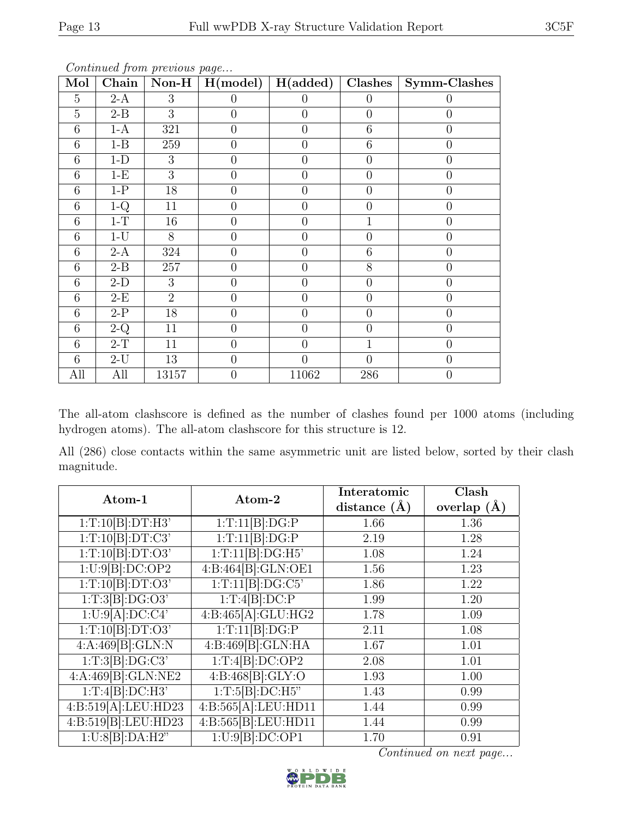| Mol            | Chain   | $\mathbf{Non-H}$ | $\overline{\mathrm{H}}(\mathrm{model})$ | $\overline{H(\text{added})}$ | Clashes        | Symm-Clashes   |
|----------------|---------|------------------|-----------------------------------------|------------------------------|----------------|----------------|
| $\overline{5}$ | $2-A$   | 3                | $\theta$                                | $\overline{0}$               | $\overline{0}$ | $\Omega$       |
| $\overline{5}$ | $2 - B$ | 3                | $\overline{0}$                          | $\overline{0}$               | $\overline{0}$ | $\overline{0}$ |
| 6              | $1-A$   | 321              | $\overline{0}$                          | $\overline{0}$               | 6              | $\overline{0}$ |
| 6              | $1 - B$ | 259              | $\overline{0}$                          | $\overline{0}$               | 6              | $\overline{0}$ |
| 6              | $1-D$   | 3                | $\overline{0}$                          | $\overline{0}$               | $\theta$       | $\overline{0}$ |
| 6              | $1-E$   | 3                | $\overline{0}$                          | $\overline{0}$               | $\theta$       | $\overline{0}$ |
| 6              | $1-P$   | 18               | $\overline{0}$                          | $\overline{0}$               | $\overline{0}$ | $\overline{0}$ |
| 6              | $1-Q$   | 11               | $\overline{0}$                          | $\overline{0}$               | $\overline{0}$ | $\overline{0}$ |
| 6              | $1-T$   | 16               | $\overline{0}$                          | $\overline{0}$               | $\mathbf 1$    | $\overline{0}$ |
| 6              | $1-U$   | 8                | $\overline{0}$                          | $\overline{0}$               | $\overline{0}$ | $\overline{0}$ |
| 6              | $2-A$   | 324              | $\overline{0}$                          | $\overline{0}$               | 6              | $\overline{0}$ |
| 6              | $2 - B$ | 257              | $\overline{0}$                          | $\overline{0}$               | 8              | $\overline{0}$ |
| 6              | $2-D$   | 3                | $\overline{0}$                          | $\overline{0}$               | $\overline{0}$ | $\overline{0}$ |
| 6              | $2-E$   | $\overline{2}$   | $\overline{0}$                          | $\overline{0}$               | $\overline{0}$ | $\overline{0}$ |
| 6              | $2-P$   | 18               | $\overline{0}$                          | $\overline{0}$               | $\overline{0}$ | $\overline{0}$ |
| 6              | $2-Q$   | 11               | $\theta$                                | $\overline{0}$               | $\theta$       | $\theta$       |
| 6              | $2-T$   | 11               | $\overline{0}$                          | $\overline{0}$               | $\mathbf{1}$   | $\overline{0}$ |
| 6              | $2-U$   | 13               | $\overline{0}$                          | $\theta$                     | $\overline{0}$ | $\overline{0}$ |
| All            | All     | 13157            | $\overline{0}$                          | 11062                        | 286            | $\overline{0}$ |

The all-atom clashscore is defined as the number of clashes found per 1000 atoms (including hydrogen atoms). The all-atom clashscore for this structure is 12.

All (286) close contacts within the same asymmetric unit are listed below, sorted by their clash magnitude.

| Atom-1              | Atom-2              | Interatomic<br>distance $(A)$ | Clash<br>overlap $(A)$ |
|---------------------|---------------------|-------------------------------|------------------------|
|                     |                     |                               |                        |
| 1:T:10[B]:DT:H3'    | 1:T:11[B]:DG:P      | 1.66                          | 1.36                   |
| 1:T:10[B]:DT:C3'    | 1:T:11[B]:DG:P      | 2.19                          | 1.28                   |
| 1:T:10[B]:DT:O3'    | 1:T:11[B]:DG:H5     | 1.08                          | 1.24                   |
| 1:U:9[B]:DC:OP2     | 4:B:464[B]:GLN:OE1  | 1.56                          | 1.23                   |
| 1:T:10[B]:DT:O3'    | 1:T:11[B]:DG:C5     | 1.86                          | 1.22                   |
| 1:T:3[B]:DG:O3'     | 1:T:4[B]:DC:P       | 1.99                          | 1.20                   |
| 1:U:9[A]:DC:C4'     | 4:B:465[A]:GLU:HG2  | 1.78                          | 1.09                   |
| 1:T:10[B]:DT:O3'    | 1:T:11[B]:DG:P      | 2.11                          | 1.08                   |
| 4:A:469[B]:GLN:N    | 4:B:469[B]:GLN:HA   | 1.67                          | 1.01                   |
| 1:T:3[B]:DG:C3'     | 1:T:4[B]:DC:OP2     | 2.08                          | 1.01                   |
| 4:A:469[B]:GLN:NE2  | 4:B:468[B]:GLY:O    | 1.93                          | 1.00                   |
| 1:T:4[B]:DC:H3'     | 1: T:5[B]:DC:H5"    | 1.43                          | 0.99                   |
| 4:B:519[A]:LEU:HD23 | 4:B:565[A]:LEU:HD11 | 1.44                          | 0.99                   |
| 4:B:519[B]:LEU:HD23 | 4:B:565[B]:LEU:HD11 | 1.44                          | 0.99                   |
| 1:U:8[B]:DA:H2"     | 1:U:9[B]:DC:OP1     | 1.70                          | 0.91                   |

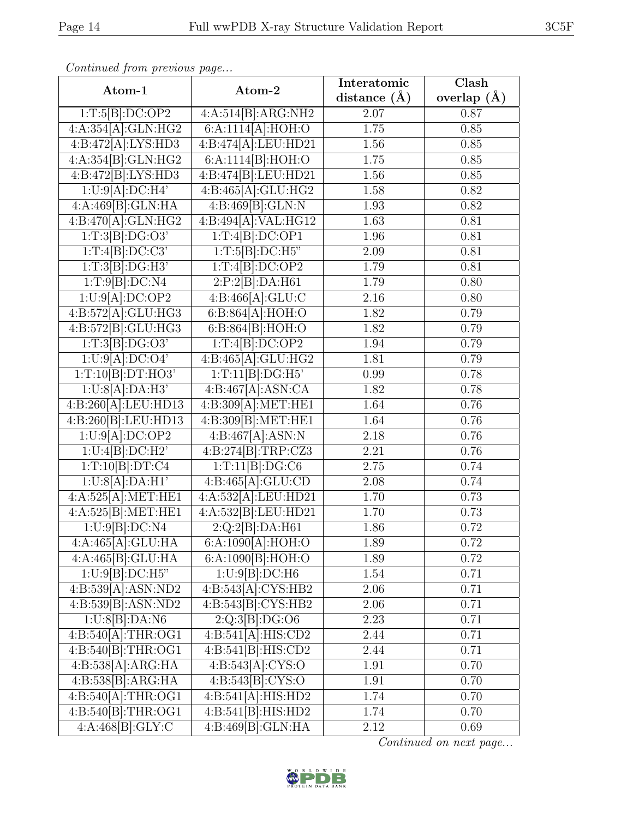| Continually from protious puge |                                               | Interatomic      | $\overline{\text{Clash}}$ |
|--------------------------------|-----------------------------------------------|------------------|---------------------------|
| Atom-1                         | Atom-2                                        | distance $(\AA)$ | overlap $(\AA)$           |
| 1:T:5[B]:DC:OP2                | 4:A:514[B]:ARG:NH2                            | 2.07             | 0.87                      |
| 4:A:354[A]:GLN:HG2             | 6:A:1114[A]:HOH:O                             | 1.75             | 0.85                      |
| 4:B:472[A]:LYS:HD3             | 4:B:474[A]:LEU:HD21                           | 1.56             | 0.85                      |
| 4:A:354[B]:GLN:HG2             | 6:A:1114[B]:HOH:O                             | 1.75             | 0.85                      |
| 4:B:472[B]:LYS:HD3             | 4:B:474[B]:LEU:HD21                           | 1.56             | 0.85                      |
| 1:U:9[A]:DC:H4'                | 4:B:465[A]:GLU:HG2                            | 1.58             | 0.82                      |
| 4:A:469[B]:GLN:HA              | 4:B:469[B]:GLN:N                              | 1.93             | 0.82                      |
| 4:B:470[A]:GLN:HG2             | 4:B:494[A]:VAL:HG12                           | 1.63             | 0.81                      |
| 1:T:3[B]:DG:O3'                | 1:T:4[B]:DC:OP1                               | 1.96             | 0.81                      |
| 1:T:4[B]:DC:C3'                | 1:T:5[B]:DC:H5"                               | 2.09             | 0.81                      |
| 1:T:3[B]:DG:H3"                | 1:T:4[B]:DC:OP2                               | 1.79             | 0.81                      |
| 1:T:9[B]:DC:N4                 | 2:P:2[B]:DA:H61                               | 1.79             | 0.80                      |
| 1:U:9[A]:DC:OP2                | 4:B:466[A]:GLU:C                              | 2.16             | 0.80                      |
| 4:B:572[A]:GLU:HG3             | 6:B:864[A]:HOH:O                              | 1.82             | 0.79                      |
| 4:B:572[B]:GLU:HG3             | 6:B:864[B]:HOH:O                              | 1.82             | 0.79                      |
| 1:T:3[B]:DG:O3'                | 1:T:4[B]:DC:OP2                               | 1.94             | 0.79                      |
| 1:U:9[A]:DC:O4'                | 4:B:465[A]:GLU:HG2                            | 1.81             | 0.79                      |
| 1:T:10[B]:DT:HO3'              | 1:T:11[B]:DG:H5                               | 0.99             | 0.78                      |
| 1:U:8[A]:DA:H3'                | 4:B:467[A]:ASN:CA                             | 1.82             | 0.78                      |
| 4:B:260[A]:LEU:HD13            | 4:B:309[A]:MET:HE1                            | 1.64             | 0.76                      |
| 4:B:260[B]:LEU:HD13            | 4:B:309[B]:MET:HE1                            | 1.64             | 0.76                      |
| 1:U:9[A]:DC:OP2                | 4:B:467[A]:ASN:N                              | 2.18             | 0.76                      |
| 1:U:4[B]:DC:H2'                | 4:B:274[B]:TRP:CZ3                            | 2.21             | 0.76                      |
| 1:T:10[B]:DT:C4                | 1:T:11[B]:DG:C6                               | 2.75             | 0.74                      |
| 1:U:8[A]:DA:H1'                | 4:B:465[A]:GLU:CD                             | 2.08             | 0.74                      |
| 4:A:525[A]:MET:HE1             | 4:A:532[A]:LEU:HD21                           | 1.70             | 0.73                      |
| 4:A:525[B]:MET:HE1             | 4:A:532[B]:LEU:HD21                           | 1.70             | 0.73                      |
| 1:U:9[B]:DC:N4                 | 2:Q:2[B]:DA:H61                               | 1.86             | 0.72                      |
| 4:A:465[A]:GLU:HA              | 6:A:1090[A]:HOH:O                             | 1.89             | 0.72                      |
| 4:A:465[B]:GLU:HA              | 6:A:1090[B]:HOH:O                             | 1.89             | 0.72                      |
| $1:U:9[B] : D\\C:H5"$          | 1:U:9[B]:DC:H6                                | 1.54             | 0.71                      |
| 4:B:539[A]:ASN:ND2             | 4:B:543[A]:CYS:HB2                            | 2.06             | 0.71                      |
| 4:B:539[B]:ASN:ND2             | 4:B:543[B]:CYS:HB2                            | 2.06             | 0.71                      |
| 1:U:8[B]:DA:NG                 | 2:Q:3[B]:DG:O6                                | 2.23             | 0.71                      |
| 4:B:540[A]:THR:OG1             | 4:B:541[A]:HIS:CD2                            | 2.44             | 0.71                      |
| 4:B:540[B]:THR:OG1             | 4:B:541[B]:HIS:CD2                            | 2.44             | 0.71                      |
| 4:B:538[A]:ARG:HA              | 4:B:543[A]:CYS:O                              | 1.91             | 0.70                      |
| 4:B:538[B]:ARG:HA              | 4:B:543[B]:CYS:O                              | 1.91             | 0.70                      |
| 4:B:540[A]:THR:OG1             | 4:B:541[A]:HIS:HD2                            | 1.74             | 0.70                      |
| 4:B:540[B]:THR:OG1             | 4:B:541[B]:HIS:HD2                            | 1.74             | 0.70                      |
| 4:A:468[B]:GLY:C               | $4:B:469[\overline{B}]\cdot\overline{GLN:HA}$ | 2.12             | 0.69                      |

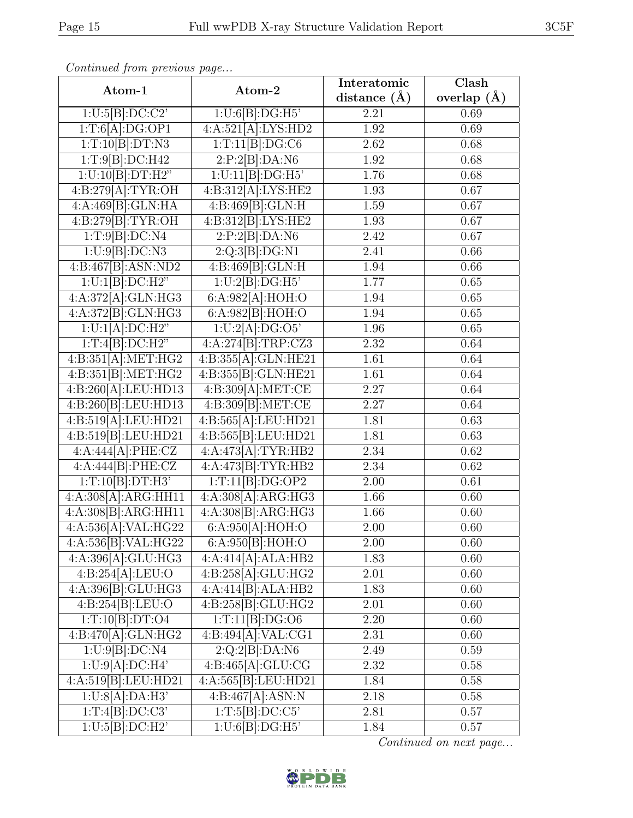| agor |
|------|
|      |
|      |
|      |
|      |
|      |

| Atom-1                           | Atom-2                          | Interatomic      | $\overline{\text{Clash}}$ |
|----------------------------------|---------------------------------|------------------|---------------------------|
|                                  |                                 | distance $(\AA)$ | overlap $(A)$             |
| 1:U:5[B]:DC:C2'                  | 1:U:6[B]:DG:H5                  | 2.21             | 0.69                      |
| 1:T:6[A]:DG:OP1                  | 4:A:521[A]:LYS:HD2              | 1.92             | 0.69                      |
| 1:T:10[B]:DT:N3                  | 1:T:11[B]:DG:C6                 | 2.62             | 0.68                      |
| 1:T:9[B]:DC:H42                  | 2:P:2[B]:DA:N6                  | 1.92             | 0.68                      |
| 1:U:10[B]:DT:H2"                 | 1:U:11[B]:DG:H5                 | 1.76             | 0.68                      |
| 4:B:279[A]:TYR:OH                | 4:B:312[A]:LYS:HE2              | 1.93             | 0.67                      |
| 4:A:469[B]:GLN:HA                | 4:B:469[B]:GLN:H                | 1.59             | 0.67                      |
| 4:B:279[B]:TYR:OH                | 4:B:312[B]:LYS:HE2              | 1.93             | $\overline{0.67}$         |
| 1:T:9[B]:DC:N4                   | 2:P:2[B]:DA:N6                  | 2.42             | 0.67                      |
| 1:U:9[B]:DC:N3                   | 2:Q:3[B]:DG:N1                  | 2.41             | 0.66                      |
| 4:B:467[B]:ASN:ND2               | 4:B:469[B]:GLN:H                | 1.94             | 0.66                      |
| 1:U:1[B]:DC:H2"                  | 1:U:2[B]:DG:H5                  | 1.77             | 0.65                      |
| 4:A:372[A]:GLN:HG3               | 6:A:982[A]:HOH:O                | 1.94             | 0.65                      |
| 4:A:372[B]:GLN:HG3               | 6:A:982[B]:HOH:O                | 1.94             | 0.65                      |
| 1:U:1[A]:DC:H2"                  | 1:U:2[A]:DG:O5'                 | 1.96             | 0.65                      |
| 1:T:4[B]:DC:H2"                  | 4:A:274[B]:TRP:CZ3              | 2.32             | 0.64                      |
| 4:B:351[A]:MET:HG2               | 4:B:355[A]:GLN:HE21             | 1.61             | 0.64                      |
| 4:B:351[B]:MET:HG2               | 4:B:355[B]:GLN:HE21             | 1.61             | 0.64                      |
| $4:B:\overline{260[A]:LEU:HD13}$ | 4:B:309[A]:MET:CE               | 2.27             | 0.64                      |
| 4:B:260[B]:LEU:HD13              | 4:B:309[B]:MET:CE               | 2.27             | 0.64                      |
| 4:B:519[A]:LEU:HD21              | 4:B:565[A]:LEU:HD21             | 1.81             | 0.63                      |
| 4:B:519[B]:LEU:HD21              | 4:B:565[B]:LEU:HD21             | 1.81             | 0.63                      |
| 4:A:444[A]:PHE:CZ                | 4:A:473[A]:TYR:HB2              | 2.34             | 0.62                      |
| 4:A:444[B]:PHE:CZ                | 4:A:473[B]:TYR:HB2              | 2.34             | 0.62                      |
| 1:T:10[B]:DT:H3'                 | 1:T:11[B]:DG:OP2                | 2.00             | 0.61                      |
| 4:A:308[A]:ARG:HH11              | 4:A:308[A]:ARG:HG3              | 1.66             | 0.60                      |
| 4:A:308[B]:ARG:HH11              | 4:A:308[B]:ARG:HG3              | 1.66             | 0.60                      |
| 4:A:536[A]:VAL:HG22              | 6:A:950[A]:HOH:O                | 2.00             | 0.60                      |
| 4:A:536[B]:VAL:HG22              | 6:A:950[B]:HOH:O                | 2.00             | 0.60                      |
| 4:A:396[A]:GLU:HG3               | $4:A:414[A]:A\overline{LA:HB2}$ | 1.83             | 0.60                      |
| 4:B:254[A]:LEU:O                 | 4:B:258[A]:GLU:HG2              | 2.01             | 0.60                      |
| 4:A:396[B]:GLU:HG3               | 4:A:414[B]:ALA:HB2              | 1.83             | 0.60                      |
| 4:B:254[B]:LEU:O                 | 4:B:258[B]:GLU:HG2              | 2.01             | 0.60                      |
| $1:T:10[B]:\overline{DT:O4}$     | 1:T:11[B]:DG:O6                 | 2.20             | 0.60                      |
| 4:B:470[A]:GLN:HG2               | 4:B:494[A]:VAL:CG1              | 2.31             | 0.60                      |
| 1:U:9[B]:DC:NA                   | 2:Q:2[B]:DA:N6                  | 2.49             | 0.59                      |
| 1:U:9[A]:DC:H4'                  | 4:B:465[A]:GLU:CG               | 2.32             | 0.58                      |
| 4:A:519[B]:LEU:HD21              | 4:A:565[B]:LEU:HD21             | 1.84             | 0.58                      |
| 1:U:8[A]:DA:H3'                  | 4:B:467[A]:ASN:N                | 2.18             | 0.58                      |
| 1:T:4[B]:DC:C3'                  | 1:T:5[B]:DC:C5'                 | 2.81             | 0.57                      |
| 1:U:5[B]:DC:H2'                  | 1:U:6[B]:DG:H5                  | 1.84             | 0.57                      |

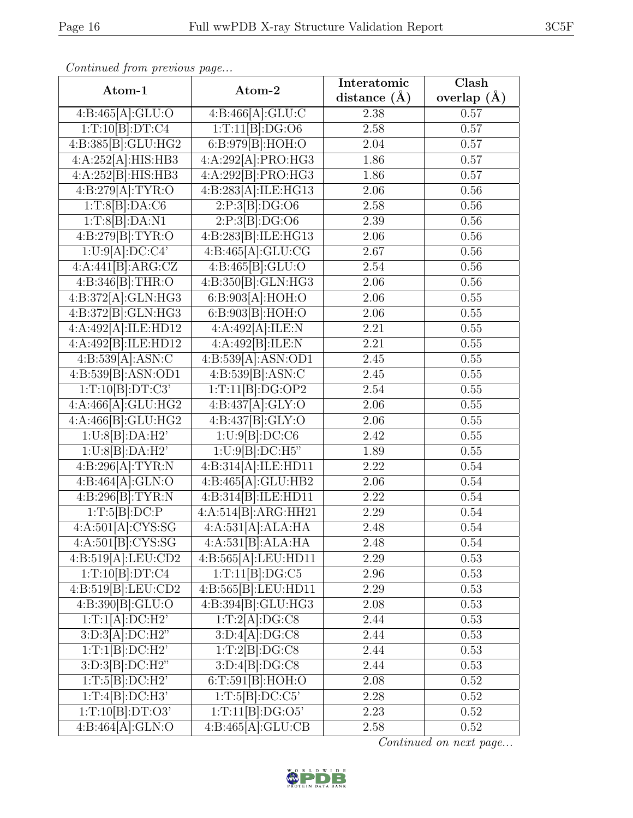| Continuation providus page      |                             | Interatomic       | $\overline{\text{Clash}}$ |  |
|---------------------------------|-----------------------------|-------------------|---------------------------|--|
| Atom-1                          | Atom-2                      | distance $(\AA)$  | overlap $(A)$             |  |
| 4:B:465[A]:GLU:O                | 4:B:466[A]:GLU:C            | 2.38              | 0.57                      |  |
| 1:T:10[B]:DT:C4                 | 1:T:11[B]:DG:O6             | 2.58              | 0.57                      |  |
| 4:B:385[B]:GLU:HG2              | 6:B:979[B]:HOH:O            | $2.04\,$          | 0.57                      |  |
| 4:A:252[A]:HIS:HB3              | 4:A:292[A]:PRO:HG3          | 1.86              | 0.57                      |  |
| 4:A:252[B]:HIS:HB3              | 4:A:292[B]:PRO:HG3          | 1.86              | 0.57                      |  |
| 4:B:279[A]:TYR:O                | 4:B:283[A]:ILE:HG13         | 2.06              | 0.56                      |  |
| 1:T:8[B]:DA:C6                  | 2:P:3[B]:DG:O6              | 2.58              | 0.56                      |  |
| 1:T:8[B]:DA:N1                  | 2:P:3[B]:DG:O6              | 2.39              | $0.56\,$                  |  |
| 4:B:279[B]:TYR:O                | 4:B:283[B]:ILE:HG13         | 2.06              | 0.56                      |  |
| 1:U:9[A]:DC:C4'                 | 4:B:465[A]:GLU:CG           | 2.67              | $0.56\,$                  |  |
| $4:A:441\overline{[B]:ABC:CZ}$  | 4:B:465[B]:GLU:O            | 2.54              | 0.56                      |  |
| 4:B:346[B]:THR:O                | 4:B:350[B]:GLN:HG3          | 2.06              | $0.56\,$                  |  |
| 4:B:372[A]:GLN:HG3              | 6: B:903[A]: HOH:O          | 2.06              | $0.55\,$                  |  |
| 4:B:372[B]:GLN:HG3              | 6: B:903[B]: HOH:O          | 2.06              | 0.55                      |  |
| 4:A:492[A]:ILE:HD12             | 4:A:492[A]:ILE:N            | 2.21              | 0.55                      |  |
| 4:A:492[B]:ILE:HD12             | 4:A:492[B]:ILE:N            | 2.21              | 0.55                      |  |
| 4:B:539[A]:ASN:C                | 4:B:539[A]:ASN:OD1          | 2.45              | 0.55                      |  |
| 4:B:539[B]:ASN:OD1              | 4:B:539[B]:ASN:C            | 2.45              | 0.55                      |  |
| 1:T:10[B]:DT:C3'                | 1:T:11[B]:DG:OP2            | $2.54\,$          | 0.55                      |  |
| 4:A:466[A]:GLU:HG2              | 4:B:437[A]:GLY:O            | 2.06              | 0.55                      |  |
| $4:\overline{A:466[B]:GLU:HG2}$ | 4:B:437[B]:GLY:O            | 2.06              | 0.55                      |  |
| 1:U:8[B]:DA:H2'                 | 1:U:9[B]:DC:C6              | 2.42              | 0.55                      |  |
| 1:U:8[B]:DA:H2'                 | 1:U:9[B]:DC:H5"             | 1.89              | 0.55                      |  |
| 4:B:296[A]:TYR:N                | 4:B:314[A]:ILE:HD11         | $\overline{2.22}$ | 0.54                      |  |
| 4:B:464[A]:GLN:O                | 4:B:465[A]:GLU:HB2          | 2.06              | 0.54                      |  |
| 4:B:296[B]:TYR:N                | 4:B:314[B]:ILE:HD11         | 2.22              | 0.54                      |  |
| 1:T:5[B]:DC:P                   | 4:A:514[B]:ARG:HH21         | 2.29              | 0.54                      |  |
| 4:A:501[A]:CYS:SG               | 4:A:531[A]:ALA:HA           | 2.48              | 0.54                      |  |
| 4:A:501[B]:CYS:SG               | 4:A:531[B]:ALA:HA           | 2.48              | 0.54                      |  |
| 4:B:519[A]:LEU:CD2              | 4:B:565[A]:LEU:HD11         | 2.29              | 0.53                      |  |
| 1:T:10[B]:DT:C4                 | 1:T:11[B]:DG:C5             | 2.96              | 0.53                      |  |
| 4:B:519[B]:LEU:CD2              | 4:B:565[B]:LEU:HD11         | 2.29              | 0.53                      |  |
| 4:B:390[B]:GLU:O                | 4:B:394[B]:GLU:HG3          | 2.08              | 0.53                      |  |
| 1:T:1[A]:DC:H2'                 | 1:T:2[A]:DG:C8              | 2.44              | 0.53                      |  |
| 3:D:3[A]:DC:H2"                 | $3:D:4[A]:\overline{DG:C8}$ | 2.44              | 0.53                      |  |
| $1:T:1[B]\overline{.DC:H2'}$    | 1:T:2[B]:DG:C8              | 2.44              | 0.53                      |  |
| 3:D:3[B]:DC:H2"                 | 3:D:4[B]:DG:CS              | 2.44              | 0.53                      |  |
| 1:T:5[B]:DC:H2'                 | 6:T:591[B]:HOH:O            | $2.08\,$          | 0.52                      |  |
| 1:T:4[B]:DC:H3'                 | 1:T:5[B]:DC:C5'             | 2.28              | 0.52                      |  |
| 1:T:10[B]:DT:O3'                | 1:T:11[B]:DG:O5'            | 2.23              | 0.52                      |  |
| 4:B:464[A]:GLN:O                | 4:B:465[A]:GLU:CB           | 2.58              | 0.52                      |  |

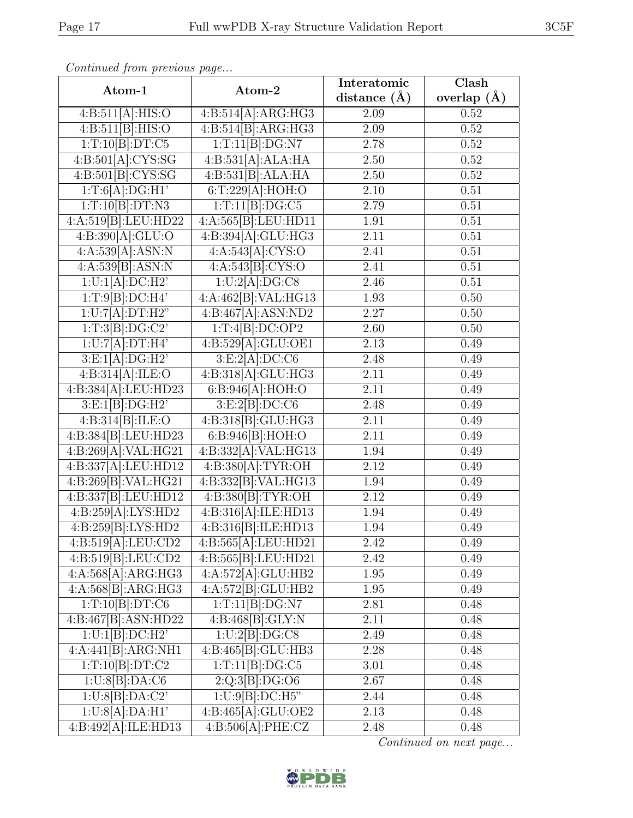| Continued from previous page |                                  |                  |               |
|------------------------------|----------------------------------|------------------|---------------|
| Atom-1                       | Atom-2                           | Interatomic      | Clash         |
|                              |                                  | distance $(\AA)$ | overlap $(A)$ |
| 4:B:511[A]:HIS:O             | 4:B:514[A]:ARG:HG3               | 2.09             | 0.52          |
| 4:B:511[B]:HIS:O             | 4:B:514[B]:ARG:HG3               | 2.09             | 0.52          |
| 1:T:10[B]:DT:C5              | 1:T:11[B]:DG:N7                  | 2.78             | $0.52\,$      |
| 4:B:501[A]:CYS:SG            | 4:B:531[A]:ALA:HA                | 2.50             | 0.52          |
| 4: B:501[B]: CYS:SG          | 4:B:531[B]:ALA:HA                | 2.50             | 0.52          |
| 1:T:6[A]:DG:H1'              | 6:T:229[A]:HOH:O                 | 2.10             | 0.51          |
| 1:T:10[B]:DT:N3              | 1:T:11[B]:DG:C5                  | 2.79             | 0.51          |
| 4:A:519[B]:LEU:HD22          | 4:A:565[B]:LEU:HD11              | 1.91             | 0.51          |
| 4:B:390[A]:GLU:O             | 4:B:394[A]:GLU:HG3               | 2.11             | 0.51          |
| 4:A:539[A]:ASN:N             | 4:A:543[A]:CYS:O                 | 2.41             | 0.51          |
| 4:A:539[B]:ASN:N             | 4:A:543[B]:CYS:O                 | 2.41             | 0.51          |
| 1:U:1[A]:DC:H2'              | 1:U:2[A]:DG:C8                   | 2.46             | 0.51          |
| 1:T:9[B]:DC:H4'              | $4:A:462[B]:\overline{VAL:HG13}$ | 1.93             | 0.50          |
| 1:U:7[A]:DT:H2"              | 4:B:467[A]:ASN:ND2               | 2.27             | 0.50          |
| 1:T:3[B]:DG:C2'              | 1:T:4[B]:DC:OP2                  | 2.60             | 0.50          |
| 1:U:7[A]:DT:H4'              | 4:B:529[A]:GLU:OE1               | 2.13             | 0.49          |
| 3:E:1[A]:DG:H2'              | 3:E:2[A]:DC:C6                   | 2.48             | 0.49          |
| 4:B:314[A]:ILE:O             | 4:B:318[A]:GLU:HG3               | 2.11             | 0.49          |
| 4:B:384[A]:LEU:HD23          | 6:B:946[A]:HOH:O                 | 2.11             | 0.49          |
| 3:E:1[B]:DG:H2"              | 3: E:2[B]:DC:C6                  | 2.48             | 0.49          |
| 4:B:314[B]:ILE:O             | 4:B:318 B : GLU: HG3             | 2.11             | 0.49          |
| 4:B:384[B]:LEU:HD23          | 6:B:946[B]:HOH:O                 | 2.11             | 0.49          |
| 4:B:269[A]:VAL:HG21          | 4:B:332[A]:VAL:HG13              | 1.94             | 0.49          |
| 4:B:337[A]:LEU:HD12          | 4:B:380[A]:TYR:OH                | 2.12             | 0.49          |
| 4:B:269[B]:VAL:HG21          | 4:B:332[B]:VAL:H G13             | 1.94             | 0.49          |
| 4:B:337[B]:LEU:HD12          | 4:B:380[B]:TYR:OH                | 2.12             | 0.49          |
| 4:B:259[A]:LYS:HD2           | 4:B:316[A]:ILE:HD13              | 1.94             | 0.49          |
| 4:B:259[B]:LYS:HD2           | 4:B:316[B]:ILE:HD13              | 1.94             | 0.49          |
| 4:B:519[A]:LEU:CD2           | 4:B:565[A]:LEU:HD21              | 2.42             | 0.49          |
| 4:B:519[B]:LEU:CD2           | 4:B:565[B]:LEU:HD21              | 2.42             | 0.49          |
| 4:A:568[A]:ARG:HG3           | 4:A:572[A]:GLU:HB2               | 1.95             | 0.49          |
| 4:A:568[B]:ARG:HG3           | 4:A:572[B]:GLU:HB2               | 1.95             | 0.49          |
| 1:T:10[B]:DT:C6              | 1:T:11[B]:DG:N7                  | 2.81             | 0.48          |
| 4:B:467[B]:ASN:HD22          | 4:B:468[B]:GLY:N                 | 2.11             | 0.48          |
| 1:U:1[B]:DC:H2'              | 1:U:2[B]:DG:CS                   | 2.49             | 0.48          |
| 4:A:441[B]:ARG:NH1           | 4:B:465[B]:GLU:HB3               | 2.28             | 0.48          |
| 1:T:10[B]:DT:C2              | 1:T:11[B]:DG:C5                  | 3.01             | 0.48          |
| 1:U:8[B]:DA:CG               | 2:Q:3[B]:DG:O6                   | 2.67             | 0.48          |
| 1:U:8[B]:DA:C2'              | 1:U:9[B]:DC:H5"                  | 2.44             | 0.48          |
| 1:U:8[A]:DA:H1'              | 4:B:465[A]:GLU:OE2               | 2.13             | 0.48          |

Continued on next page...



4:B:492[A]:ILE:HD13 4:B:506[A]:PHE:CZ 2.48 0.48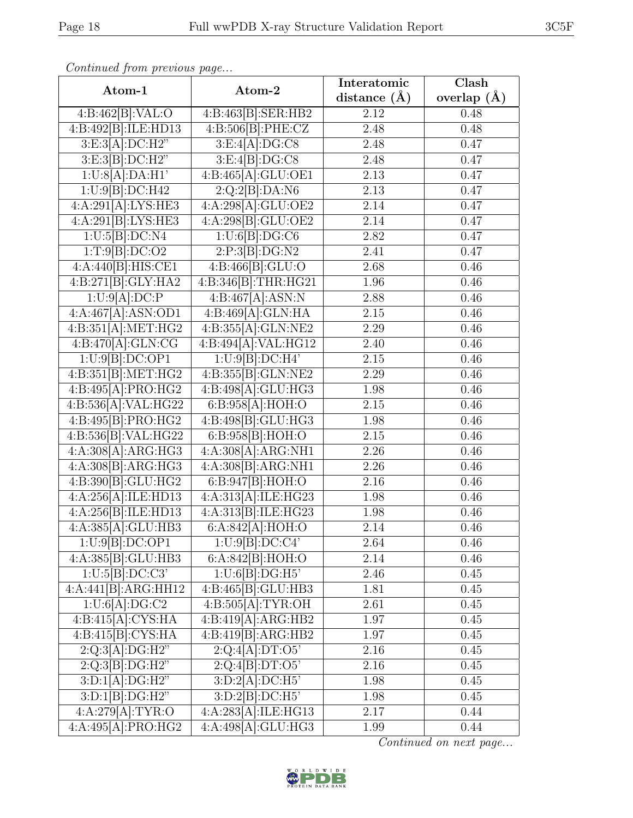| Continued from previous page |                                             |                   |               |
|------------------------------|---------------------------------------------|-------------------|---------------|
| Atom-1                       | Atom-2                                      | Interatomic       | Clash         |
|                              |                                             | distance $(A)$    | overlap $(A)$ |
| 4:B:462[B]:VAL:O             | 4:B:463[B]:SER:HB2                          | 2.12              | 0.48          |
| 4:B:492[B]:ILE:HD13          | 4:B:506[B]:PHE:CZ                           | 2.48              | 0.48          |
| 3:E:3[A]:DC:H2"              | 3:E:4[A]:DG:CS                              | 2.48              | 0.47          |
| 3: E:3[B]:DC:H2"             | 3:E:4[B]:DG:CS                              | 2.48              | 0.47          |
| 1:U:8[A]:DA:H1'              | 4:B:465[A]:GLU:OE1                          | 2.13              | 0.47          |
| $1:U:\overline{9 B :DC:H42}$ | 2:Q:2[B]:DA:N6                              | 2.13              | 0.47          |
| 4:A:291[A]:LYS:HE3           | 4:A:298[A]:GLU:OE2                          | 2.14              | 0.47          |
| 4:A:291[B]:LYS:HE3           | 4:A:298[B]:GLU:OE2                          | 2.14              | 0.47          |
| 1:U:5[B]:DC:NA               | 1:U:6[B]:DG:CG                              | 2.82              | 0.47          |
| 1:T:9[B]:DC:O2               | 2:P:3[B]:DG:N2                              | 2.41              | 0.47          |
| 4:A:440[B]:HIS:CE1           | 4:B:466[B]:GLU:O                            | 2.68              | 0.46          |
| 4:B:271[B]:GLY:HA2           | 4:B:346[B]:THR:HG21                         | 1.96              | 0.46          |
| 1:U:9[A]:DC:P                | 4:B:467[A]:ASN:N                            | 2.88              | 0.46          |
| 4:A:467[A]:ASN:OD1           | 4:B:469[A]:GLN:HA                           | 2.15              | 0.46          |
| 4:B:351[A]:MET:HG2           | $4:B:355[A]\overline{:GLN:NE2}$             | 2.29              | 0.46          |
| 4:B:470[A]:GLN:CG            | 4:B:494[A]:VAL:HG12                         | 2.40              | 0.46          |
| 1:U:9[B]:DC:OP1              | 1:U:9[B]:DC:H4'                             | $2.15\,$          | 0.46          |
| 4:B:351[B]:MET:HG2           | 4:B:355[B]:GLN:NE2                          | 2.29              | 0.46          |
| 4:B:495[A]:PRO:HG2           | 4:B:498[A]:GLU:HG3                          | 1.98              | 0.46          |
| 4:B:536[A]:VAL:HG22          | 6:B:958[A]:HOH:O                            | $2.15\,$          | 0.46          |
| 4:B:495[B]:PRO:HG2           | 4:B:498[B]:GLU:HG3                          | 1.98              | 0.46          |
| 4:B:536[B]:VAL:HG22          | 6:B:958[B]:HOH:O                            | 2.15              | 0.46          |
| 4:A:308[A]:ARG:HG3           | 4:A:308[A]:ARG:NH1                          | 2.26              | 0.46          |
| 4:A:308[B]:ARG:HG3           | 4:A:308[B]:ARG:NH1                          | 2.26              | 0.46          |
| 4:B:390[B]:GLU:HG2           | 6:B:947[B]:HOH:O                            | 2.16              | 0.46          |
| 4:A:256[A]:ILE:HD13          | 4:A:313[A]:ILE:HG23                         | 1.98              | 0.46          |
| 4:A:256[B]:ILE:HD13          | 4:A:313[B]:ILE:HG23                         | 1.98              | 0.46          |
| 4:A:385[A]:GLU:HB3           | 6:A:842[A]:HOH:O                            | $\overline{2.14}$ | 0.46          |
| 1:U:9[B]:DC:OP1              | 1:U:9[B]:DC:C4'                             | 2.64              | 0.46          |
| 4:A:385[B]:GLU:HB3           | 6:A:842[B]:HOH:O                            | 2.14              | 0.46          |
| 1:U:5[B]:DC:C3'              | 1:U:6[B]:DG:H5                              | 2.46              | 0.45          |
| 4:A:441[B]:ARG:HH12          | 4:B:465[B]:GLU:HB3                          | 1.81              | 0.45          |
| 1:U:6[A]:DG:C2               | 4:B:505[A]:TYR:OH                           | 2.61              | 0.45          |
| 4:B:415[A]:CYS:HA            | 4:B:419[A]:ARG:HB2                          | 1.97              | 0.45          |
| 4:B:415[B]:CYS:HA            | 4:B:419[B]:ARG:HB2                          | 1.97              | 0.45          |
| 2:Q:3[A]:DG:H2"              | $2:Q:4[A]:\overline{DT:O5'}$                | 2.16              | 0.45          |
| 2:Q:3[B]:DG:H2"              | 2:Q:4[B]:DT:O5'                             | 2.16              | 0.45          |
| 3:D:1[A]:DG:H2"              | 3:D:2[A]:DC:H5'                             | 1.98              | 0.45          |
| 3:D:1[B]:DG:H2"              | 3:D:2[B]:DC:H5'                             | 1.98              | 0.45          |
| 4:A:279[A]:TYR:O             | $4:A:283[A]\cdot\overline{\text{ILE}:HG13}$ | 2.17              | 0.44          |

 $Con$ 

Continued on next page...



4:A:495[A]:PRO:HG2 4:A:498[A]:GLU:HG3 1.99 0.44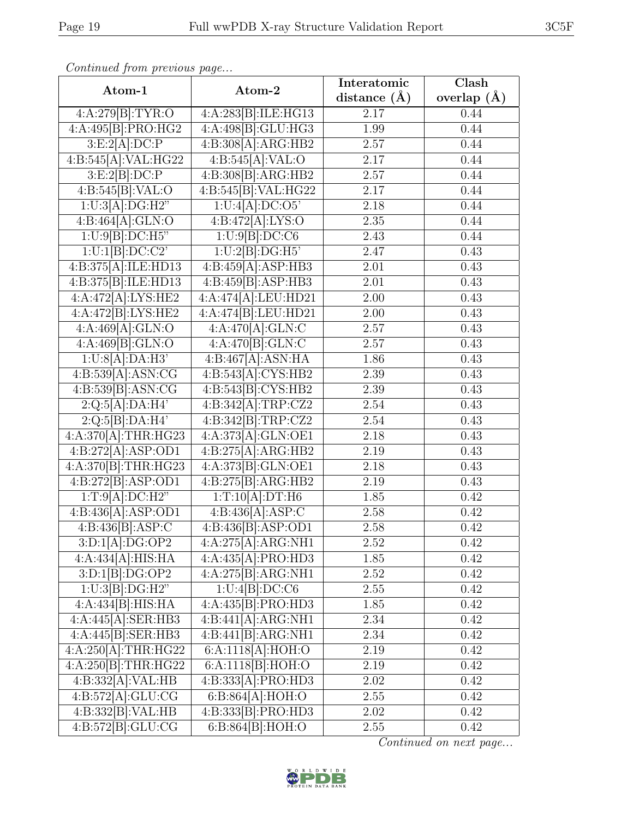| Atom-1                                  | Atom-2                                              | Interatomic<br>distance $(\AA)$ | Clash<br>overlap $(A)$<br>0.44 |  |
|-----------------------------------------|-----------------------------------------------------|---------------------------------|--------------------------------|--|
| 4:A:279[B]:TYR:O                        | 4:A:283[B]:ILE:HG13                                 | 2.17                            |                                |  |
| 4:A:495[B]:PRO:HG2                      | 4:A:498[B]:GLU:HG3                                  | 1.99                            | 0.44                           |  |
| 3:E:2[A]:DC:P                           | $4:B:308[\overline{\mathrm{A}]:\!\mathrm{ARG:H}B2}$ | 2.57                            | 0.44                           |  |
| 4:B:545[A]:VAL:HG22                     | 4:B:545[A]:VAL:O                                    | 2.17                            | 0.44                           |  |
| 3:E:2[B]:DC:P                           | 4:B:308[B]:ARG:HB2                                  | 2.57                            | 0.44                           |  |
| 4:B:545[B]:VAL:O                        | 4:B:545[B]:VAL:HG22                                 | 2.17                            | 0.44                           |  |
| 1:U:3[A]:DG:H2"                         | 1:U:4[A]:DC:O5'                                     | 2.18                            | 0.44                           |  |
| 4:B:464[A]:GLN:O                        | 4:B:472[A]:LYS:O                                    | $2.35\,$                        | 0.44                           |  |
| 1:U:9[B]:DC:H5"                         | 1:U:9[B]:DC:C6                                      | 2.43                            | 0.44                           |  |
| 1:U:1[B]:DC:C2'                         | 1:U:2[B]:DG:H5                                      | 2.47                            | 0.43                           |  |
| 4:B:375[A]:ILE:HD13                     | 4:B:459[A]:ASP:HB3                                  | 2.01                            | 0.43                           |  |
| 4:B:375[B]:ILE:HD13                     | 4:B:459[B]:ASP:HB3                                  | 2.01                            | 0.43                           |  |
| 4:A:472[A]:LYS:HE2                      | 4:A:474[A]:LEU:HD21                                 | 2.00                            | 0.43                           |  |
| 4:A:472[B]:LYS:HE2                      | 4:A:474 B : LEU: HD21                               | 2.00                            | 0.43                           |  |
| 4:A:469[A]:GLN:O                        | 4:A:470[A]:GLN:C                                    | 2.57                            | 0.43                           |  |
| 4:A:469[B]:GLN:O                        | 4:A:470[B]:GLN:C                                    | 2.57                            | 0.43                           |  |
| 1:U:8[A]:DA:H3'                         | 4:B:467[A]:ASN:HA                                   | 1.86                            | 0.43                           |  |
| 4:B:539[A]:ASN:CG                       | 4:B:543[A]:CYS:HB2                                  | 2.39                            | 0.43                           |  |
| 4:B:539[B]:ASN:CG                       | 4:B:543[B]:CYS:HB2                                  | 2.39                            | 0.43                           |  |
| 2:Q:5[A]:DA:H4'                         | 4:B:342[A]:TRP:CZ2                                  | 2.54                            | 0.43                           |  |
| $2:Q:5[B]\overline{.DA:H4'}$            | 4:B:342[B]:TRP:CZ2                                  | 2.54                            | 0.43                           |  |
| 4:A:370[A]:THR:HG23                     | 4:A:373[A]:GLN:OE1                                  | 2.18                            | 0.43                           |  |
| 4:B:272[A]:ASP:OD1                      | 4:B:275[A]:ARG:HB2                                  | 2.19                            | 0.43                           |  |
| 4:A:370[B]:THR:HG23                     | 4:A:373[B]:GLN:OE1                                  | 2.18                            | 0.43                           |  |
| 4:B:272[B]:ASP:OD1                      | 4:B:275[B]:ARG:HB2                                  | 2.19                            | 0.43                           |  |
| 1:T:9[A]:DC:H2"                         | 1:T:10[A]:DT:H6                                     | 1.85                            | 0.42                           |  |
| 4:B:436[A]:ASP:OD1                      | 4:B:436[A]:ASP:C                                    | $\overline{2.58}$               | 0.42                           |  |
| 4:B:436[B]:ASP:C                        | 4:B:436[B]:ASP:OD1                                  | 2.58                            | 0.42                           |  |
| 3:D:1[A]:DG:OP2                         | 4:A:275[A]:ARG:NH1                                  | $2.52\,$                        | 0.42                           |  |
| 4:A:434[A]:HIS:HA                       | 4:A:435[A]:PRO:HD3                                  | 1.85                            | 0.42                           |  |
| 3:D:1[B]:DG:OP2                         | 4:A:275[B]:ARG:NH1                                  | $2.52\,$                        | 0.42                           |  |
| $1:U:3[\overline{B}]\overline{:DG:H2"}$ | 1:U:4[B]:DC:C6                                      | 2.55                            | 0.42                           |  |
| 4:A:434[B]:HIS:HA                       | 4:A:435[B]:PRO:HD3                                  | 1.85                            | 0.42                           |  |

Continued on next page...



4:A:445[A]:SER:HB3 | 4:B:441[A]:ARG:NH1 | 2.34 | 0.42 4:A:445[B]:SER:HB3 | 4:B:441[B]:ARG:NH1 | 2.34 | 0.42 4:A:250[A]:THR:HG22 | 6:A:1118[A]:HOH:O | 2.19 | 0.42 4:A:250[B]:THR:HG22 | 6:A:1118[B]:HOH:O | 2.19 | 0.42 4:B:332[A]:VAL:HB | 4:B:333[A]:PRO:HD3 | 2.02 | 0.42  $4:B:572[A]:GLU:CG \t\t 6:B:864[A]:HOH:O \t\t 2.55 \t\t 0.42$ 4:B:332[B]:VAL:HB | 4:B:333[B]:PRO:HD3 | 2.02 | 0.42 4:B:572[B]:GLU:CG | 6:B:864[B]:HOH:O | 2.55 | 0.42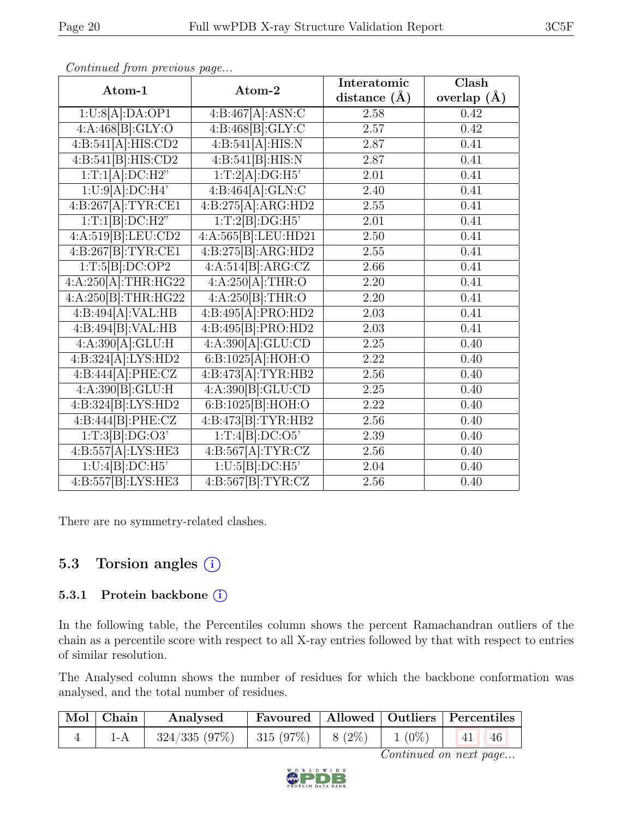| Atom-1                           | Atom-2                         | Interatomic      | Clash           |
|----------------------------------|--------------------------------|------------------|-----------------|
|                                  |                                | distance $(\AA)$ | overlap $(\AA)$ |
| 1:U:8[A]:DA:OP1                  | 4:B:467[A]:ASN:C               | 2.58             | 0.42            |
| 4:A:468[B]:GLY:O                 | 4:B:468[B]:GLY:C               | 2.57             | 0.42            |
| 4:B:541[A]:HIS:CD2               | 4:B:541[A]:HIS:N               | 2.87             | 0.41            |
| 4:B:541[B]:HIS:CD2               | 4:B:541[B]:HIS:N               | 2.87             | 0.41            |
| 1:T:1[A]:DC:H2"                  | 1:T:2[A]:DG:H5                 | 2.01             | 0.41            |
| 1:U:9[A]:DC:H4'                  | 4:B:464[A]:GLN:C               | 2.40             | 0.41            |
| 4:B:267[A]:TYR:CE1               | 4:B:275[A]:ARG:HD2             | 2.55             | 0.41            |
| 1:T:1[B]:DC:H2"                  | 1:T:2[B]:DG:H5                 | 2.01             | 0.41            |
| 4:A:519[B]:LEU:CD2               | 4:A:565[B]:LEU:HD21            | 2.50             | 0.41            |
| 4:B:267[B]:TYR:CE1               | 4:B:275[B]:ARG:HD2             | 2.55             | 0.41            |
| 1:T:5[B]:DC:OP2                  | 4:A:514[B]:ARG:CZ              | 2.66             | 0.41            |
| 4:A:250[A]:THR:HG22              | 4:A:250[A]:THR:O               | 2.20             | 0.41            |
| 4:A:250[B]:THR:HG22              | 4:A:250[B]:THR:O               | $2.20\,$         | 0.41            |
| 4:B:494[A]:VAL:HB                | 4:B:495[A]:PRO:HD2             | 2.03             | 0.41            |
| 4:B:494[B]:VAL:HB                | 4:B:495[B]:PRO:HD2             | 2.03             | 0.41            |
| 4:A:390[A]:GLU:H                 | $4:A:\overline{390[A]:GLU:CD}$ | 2.25             | 0.40            |
| 4:B:324[A]:LYS:HD2               | 6:B:1025[A]:HOH:O              | 2.22             | 0.40            |
| 4:B:444[A]:PHE:CZ                | 4:B:473[A]:TYR:HB2             | 2.56             | 0.40            |
| $4:A:390[B]:\underline{GLU:H}$   | 4:A:390 B : GLU:CD             | 2.25             | 0.40            |
| $4: \overline{B:324[B]:LYS:HD2}$ | 6:B:1025[B]:HOH:O              | 2.22             | 0.40            |
| 4:B:444[B]:PHE:CZ                | 4:B:473[B]:TYR:HB2             | 2.56             | 0.40            |
| 1:T:3[B]:DG:O3'                  | 1:T:4[B]:DC:O5'                | 2.39             | 0.40            |
| 4:B:557[A]:LYS:HE3               | 4:B:567[A]:TYR:CZ              | 2.56             | 0.40            |
| 1:U:4[B]:DC:H5'                  | 1:U:5[B]:DC:H5                 | 2.04             | 0.40            |
| 4:B:557[B]:LYS:HE3               | 4:B:567[B]:TYR:CZ              | 2.56             | 0.40            |

There are no symmetry-related clashes.

### 5.3 Torsion angles  $(i)$

#### 5.3.1 Protein backbone (i)

In the following table, the Percentiles column shows the percent Ramachandran outliers of the chain as a percentile score with respect to all X-ray entries followed by that with respect to entries of similar resolution.

The Analysed column shows the number of residues for which the backbone conformation was analysed, and the total number of residues.

| $\vert$ Mol $\vert$ Chain $\vert$ | Analysed                             |  |          | Favoured   Allowed   Outliers   Percentiles |
|-----------------------------------|--------------------------------------|--|----------|---------------------------------------------|
|                                   | $324/335$ (97%)   315 (97%)   8 (2%) |  | $1(0\%)$ | 41                                          |

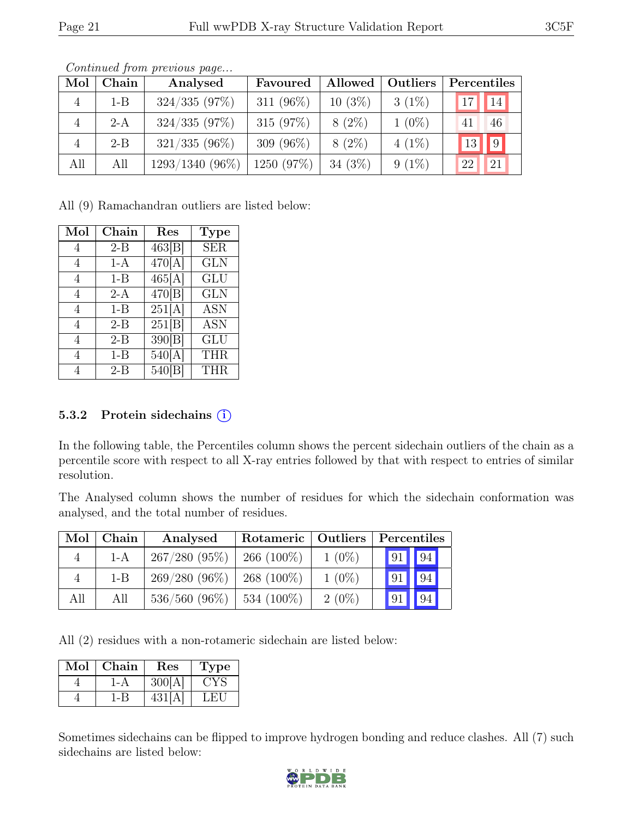| Mol | Chain   | Analysed        | Favoured     | Allowed   | Outliers | Percentiles                              |
|-----|---------|-----------------|--------------|-----------|----------|------------------------------------------|
|     | $1 - B$ | 324/335(97%)    | 311 $(96\%)$ | $10(3\%)$ | $3(1\%)$ | $17$   $14$                              |
|     | $2-A$   | $324/335(97\%)$ | 315(97%)     | $8(2\%)$  | $1(0\%)$ | 46<br>41                                 |
|     | $2 - B$ | $321/335(96\%)$ | 309 $(96\%)$ | $8(2\%)$  | $4(1\%)$ | $\vert\vert 9 \vert$<br>$\vert 13 \vert$ |
| All | All     | 1293/1340 (96%) | 1250 (97%)   | $34(3\%)$ | $9(1\%)$ | 22<br>21                                 |

Continued from previous page...

All (9) Ramachandran outliers are listed below:

| Mol            | Chain   | $\operatorname{Res}% \left( \mathcal{N}\right) \equiv\operatorname{Res}(\mathcal{N}_{0},\mathcal{N}_{0})$ | <b>Type</b> |
|----------------|---------|-----------------------------------------------------------------------------------------------------------|-------------|
| 4              | $2-B$   | 463[B]                                                                                                    | <b>SER</b>  |
| 4              | 1-A     | 470[A]                                                                                                    | <b>GLN</b>  |
| 4              | $1 - B$ | 465[A]                                                                                                    | GLU         |
| 4              | $2-A$   | 470[B]                                                                                                    | <b>GLN</b>  |
| 4              | $1 - B$ | 251[A]                                                                                                    | <b>ASN</b>  |
| $\overline{4}$ | $2 - B$ | 251[B]                                                                                                    | <b>ASN</b>  |
| 4              | $2 - B$ | 390[B]                                                                                                    | GLU         |
| 4              | $1 - B$ | $\overline{5}40[A]$                                                                                       | <b>THR</b>  |
| 4              | $2 - B$ | 540[]                                                                                                     | <b>THR</b>  |

#### 5.3.2 Protein sidechains  $(i)$

In the following table, the Percentiles column shows the percent sidechain outliers of the chain as a percentile score with respect to all X-ray entries followed by that with respect to entries of similar resolution.

The Analysed column shows the number of residues for which the sidechain conformation was analysed, and the total number of residues.

| Mol | Chain   | Analysed        | Rotameric   Outliers |          | Percentiles            |  |  |
|-----|---------|-----------------|----------------------|----------|------------------------|--|--|
| 4   | $1-A$   | $267/280(95\%)$ | $266(100\%)$         | $1(0\%)$ | 94<br> 91              |  |  |
| 4   | $1 - B$ | $269/280(96\%)$ | $268(100\%)$         | $1(0\%)$ | $\overline{94}$<br> 91 |  |  |
| All | All     | $536/560$ (96%) | 534 (100\%)          | $2(0\%)$ | 94<br> 91              |  |  |

All (2) residues with a non-rotameric sidechain are listed below:

| Mol | Chain | $\operatorname{Res}% \left( \mathcal{N}\right) \equiv\operatorname*{Res}\left( \mathcal{N}\right)$ | Type |
|-----|-------|----------------------------------------------------------------------------------------------------|------|
|     | I-A   | 300[A                                                                                              | DYS. |
|     | 1-B   | 431 [A                                                                                             | LET  |

Sometimes sidechains can be flipped to improve hydrogen bonding and reduce clashes. All (7) such sidechains are listed below:

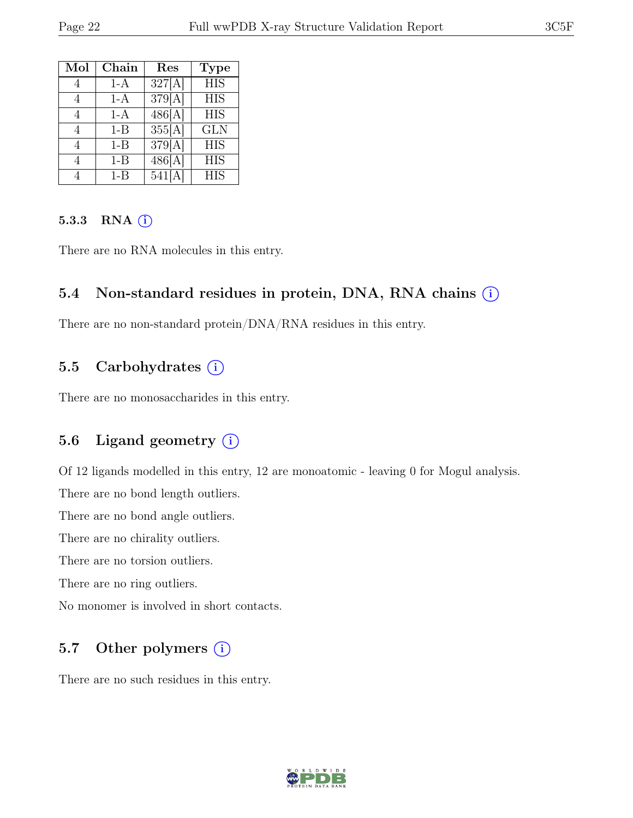| Mol | Chain   | Res                  | <b>Type</b>      |
|-----|---------|----------------------|------------------|
|     | $1-A$   | $\overline{327}$ [A] | $\overline{HIS}$ |
| 4   | $1-A$   | 379[A]               | <b>HIS</b>       |
|     | $1-A$   | 486[A]               | <b>HIS</b>       |
| 4   | $1 - B$ | 355[A]               | <b>GLN</b>       |
| 4   | $1 - B$ | 379[A]               | <b>HIS</b>       |
|     | $1 - B$ | 486[A]               | <b>HIS</b>       |
|     | $1 - B$ | 541[A                | <b>HIS</b>       |

#### 5.3.3 RNA  $(i)$

There are no RNA molecules in this entry.

#### 5.4 Non-standard residues in protein, DNA, RNA chains (i)

There are no non-standard protein/DNA/RNA residues in this entry.

### 5.5 Carbohydrates  $(i)$

There are no monosaccharides in this entry.

#### 5.6 Ligand geometry (i)

Of 12 ligands modelled in this entry, 12 are monoatomic - leaving 0 for Mogul analysis.

There are no bond length outliers.

There are no bond angle outliers.

There are no chirality outliers.

There are no torsion outliers.

There are no ring outliers.

No monomer is involved in short contacts.

#### 5.7 Other polymers  $(i)$

There are no such residues in this entry.

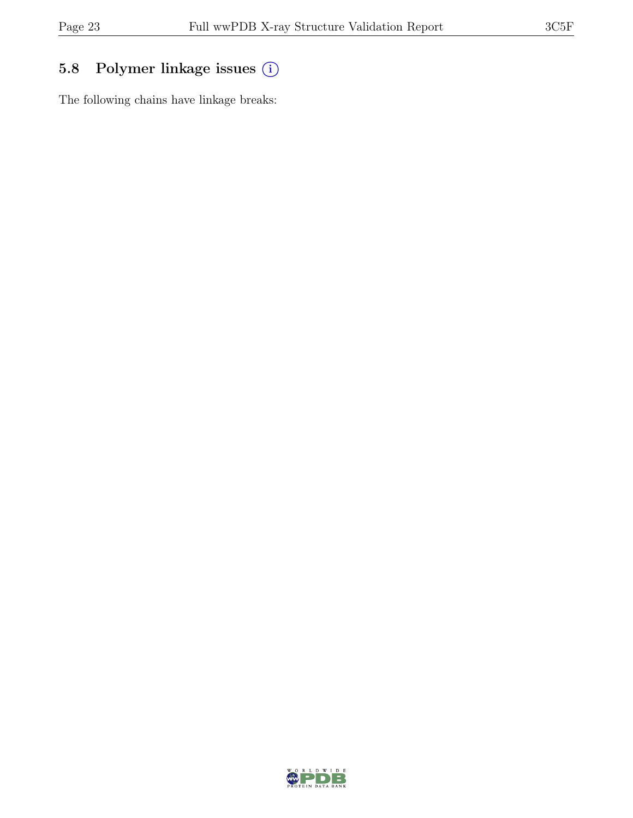### 5.8 Polymer linkage issues (i)

The following chains have linkage breaks:

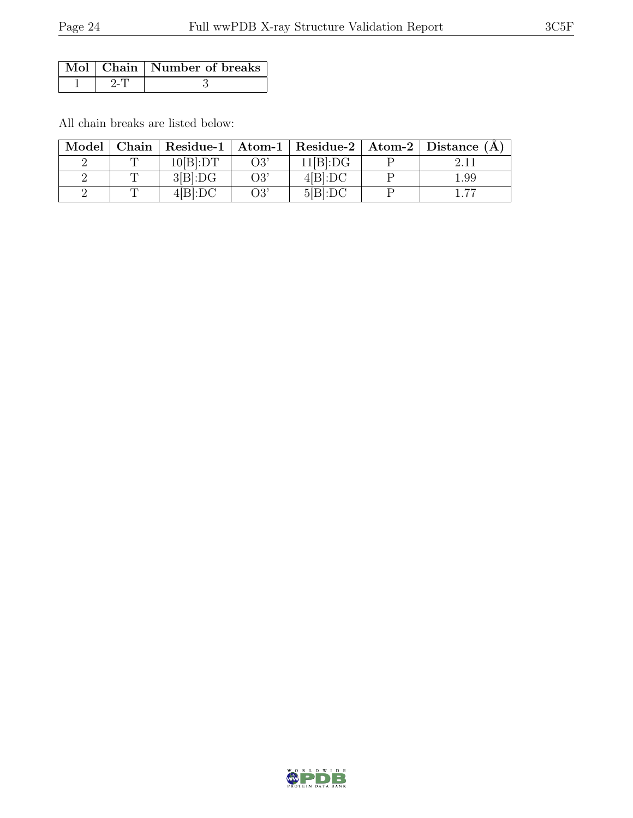|  | Mol   Chain   Number of breaks |
|--|--------------------------------|
|  |                                |

All chain breaks are listed below:

| Model | Chain |          |     |          | Residue-1   Atom-1   Residue-2   Atom-2   Distance $(A)$ |
|-------|-------|----------|-----|----------|----------------------------------------------------------|
|       |       | 10[B]:DT | O3' | 11[B]:DG |                                                          |
|       |       | 3[B]:DG  | O3' | 4[B]:DC  | 1.99                                                     |
|       |       | 4[B]:DC  | O3' | 5 B :DC  | דה                                                       |

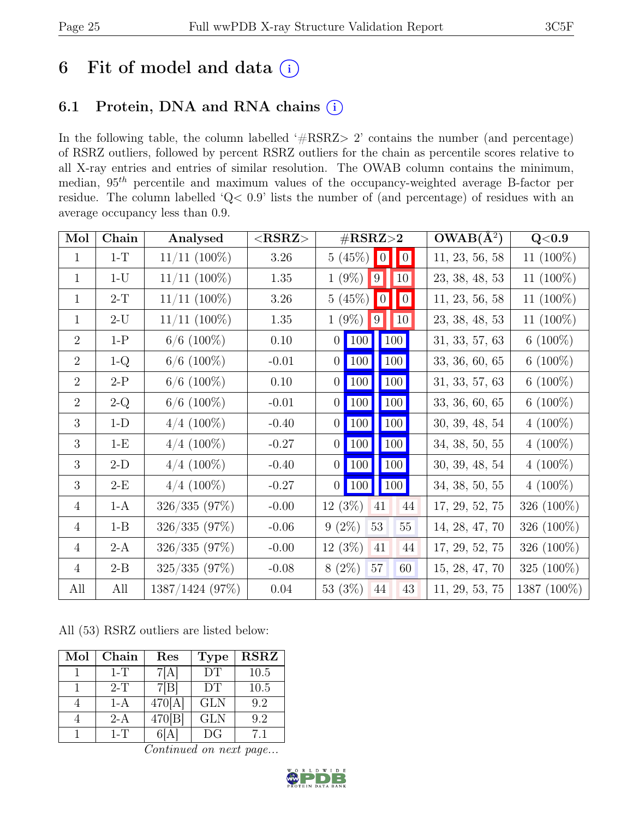### 6 Fit of model and data  $(i)$

### 6.1 Protein, DNA and RNA chains (i)

In the following table, the column labelled ' $\#\text{RSRZ}>2$ ' contains the number (and percentage) of RSRZ outliers, followed by percent RSRZ outliers for the chain as percentile scores relative to all X-ray entries and entries of similar resolution. The OWAB column contains the minimum, median,  $95<sup>th</sup>$  percentile and maximum values of the occupancy-weighted average B-factor per residue. The column labelled 'Q< 0.9' lists the number of (and percentage) of residues with an average occupancy less than 0.9.

| Mol            | Chain   | Analysed          | $<$ RSRZ $>$ | $\#\text{RSRZ}\text{>2}$                       | $OWAB(A^2)$    | Q <sub>0.9</sub> |
|----------------|---------|-------------------|--------------|------------------------------------------------|----------------|------------------|
| $\mathbf{1}$   | $1-T$   | $11/11$ $(100\%)$ | $3.26\,$     | 5(45%)<br>$\begin{bmatrix} 0 \\ \end{bmatrix}$ | 11, 23, 56, 58 | 11 (100%)        |
| $\mathbf{1}$   | $1-U$   | $11/11$ $(100\%)$ | 1.35         | $1(9\%)$<br>$ 10\rangle$<br> 9                 | 23, 38, 48, 53 | 11 $(100\%)$     |
| $\mathbf{1}$   | $2-T$   | $11/11$ $(100\%)$ | 3.26         | 5(45%)<br>$\blacksquare$ 0<br>$\vert 0 \vert$  | 11, 23, 56, 58 | 11 (100%)        |
| 1              | $2-U$   | $11/11$ $(100\%)$ | 1.35         | $1(9\%)$<br>10<br> 9                           | 23, 38, 48, 53 | 11 (100%)        |
| $\overline{2}$ | $1-P$   | $6/6$ (100%)      | 0.10         | 100<br>100<br>$\overline{0}$                   | 31, 33, 57, 63 | 6 $(100\%)$      |
| $\overline{2}$ | $1-Q$   | $6/6$ (100%)      | $-0.01$      | 100<br>100<br> 0                               | 33, 36, 60, 65 | 6 $(100\%)$      |
| $\overline{2}$ | $2-P$   | $6/6$ (100%)      | 0.10         | 100<br>100<br>$\overline{0}$                   | 31, 33, 57, 63 | 6 $(100\%)$      |
| $\overline{2}$ | $2-Q$   | $6/6$ (100%)      | $-0.01$      | $\vert$ 100<br>100<br> 0                       | 33, 36, 60, 65 | 6 $(100\%)$      |
| 3              | $1-D$   | $4/4$ (100%)      | $-0.40$      | <b>100</b><br> 100 <br>$\overline{0}$          | 30, 39, 48, 54 | $4(100\%)$       |
| 3              | $1-E$   | $4/4$ (100%)      | $-0.27$      | 100 <br>$\vert$ 100<br>$\overline{0}$          | 34, 38, 50, 55 | $4(100\%)$       |
| 3              | $2-D$   | $4/4$ (100%)      | $-0.40$      | 100 <br> 100 <br>$\overline{0}$                | 30, 39, 48, 54 | $4(100\%)$       |
| 3              | $2-E$   | $4/4$ (100%)      | $-0.27$      | 100 <br>$\vert$ 100<br>$\vert 0 \vert$         | 34, 38, 50, 55 | $4(100\%)$       |
| $\overline{4}$ | $1-A$   | 326/335 (97%)     | $-0.00$      | $12(3\%)$<br>$41\,$<br>44                      | 17, 29, 52, 75 | 326 (100%)       |
| $\overline{4}$ | $1 - B$ | 326/335(97%)      | $-0.06$      | $9(2\%)$<br>53<br>55                           | 14, 28, 47, 70 | 326 (100%)       |
| $\overline{4}$ | $2-A$   | 326/335 (97%)     | $-0.00$      | $12(3\%)$<br>41<br>44                          | 17, 29, 52, 75 | 326 (100%)       |
| 4              | $2 - B$ | 325/335(97%)      | $-0.08$      | $8(2\%)$<br>57<br>60                           | 15, 28, 47, 70 | 325 (100%)       |
| All            | All     | 1387/1424 (97%)   | $0.04\,$     | 53 (3%)<br>43<br>44                            | 11, 29, 53, 75 | 1387 (100%)      |

All (53) RSRZ outliers are listed below:

| Mol | Chain   | Res    | <b>Type</b> | <b>RSRZ</b> |
|-----|---------|--------|-------------|-------------|
|     | $1-T$   | 7[A]   | DT          | 10.5        |
|     | $2-T$   | 7[B]   | DT          | 10.5        |
|     | 1-A     | 470[A  | <b>GLN</b>  | 9.2         |
|     | 2-A     | 470[B] | <b>GLN</b>  | 9.2         |
|     | $1 - T$ |        | DG          |             |

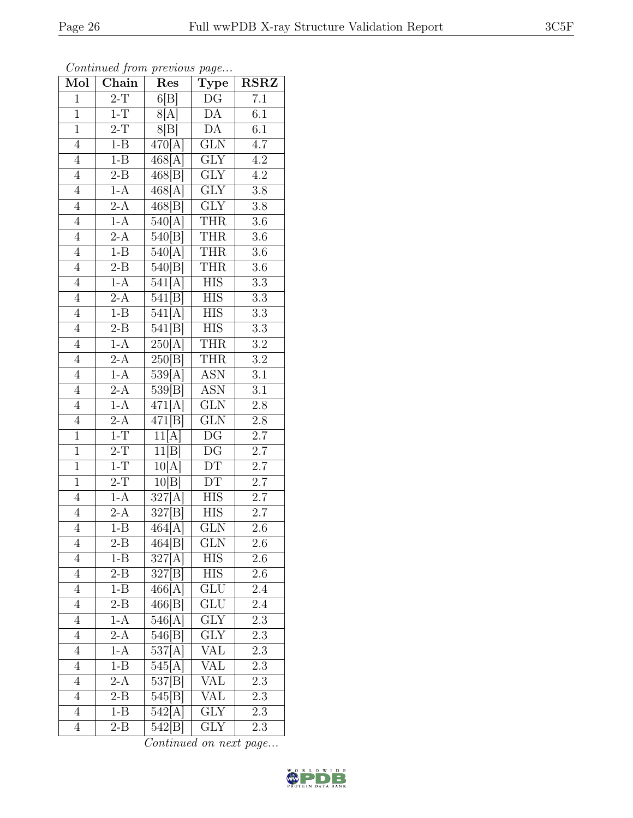| Mol            | $\overline{\text{Chain}}$ | Res                 | Type                     | $\operatorname{RSRZ}$ |
|----------------|---------------------------|---------------------|--------------------------|-----------------------|
| $\overline{1}$ | $2-T$                     | 6 B                 | $\overline{\mathrm{DG}}$ | $\overline{7.1}$      |
| $\overline{1}$ | $1-T$                     | 8[A]                | $\overline{\mathrm{DA}}$ | 6.1                   |
| $\overline{1}$ | $2-T$                     | 8[B]                | $\overline{DA}$          | 6.1                   |
| $\overline{4}$ | $1 - B$                   | 470[A]              | <b>GLN</b>               | 4.7                   |
| $\overline{4}$ | $1 - B$                   | 468[A]              | $\overline{\text{GLY}}$  | $\overline{4.2}$      |
| $\overline{4}$ | $2 - B$                   | 468[B]              | <b>GLY</b>               | 4.2                   |
| $\overline{4}$ | $1-A$                     | 468[A]              | $\overline{\text{GLY}}$  | $\overline{3.8}$      |
| $\overline{4}$ | $\overline{2-A}$          | 468[B]              | $\overline{\text{GLY}}$  | 3.8                   |
| $\overline{4}$ | $1-A$                     | 540[A]              | <b>THR</b>               | $\overline{3.6}$      |
| $\overline{4}$ | $2-A$                     | 540[B]              | <b>THR</b>               | $\overline{3.6}$      |
| $\overline{4}$ | $1 - B$                   | 540[A]              | <b>THR</b>               | $\overline{3.6}$      |
| $\overline{4}$ | $\overline{\text{2-B}}$   | 540[B]              | <b>THR</b>               | $3.6\,$               |
| $\overline{4}$ | $1-A$                     | 541[A]              | <b>HIS</b>               | $\overline{3.3}$      |
| $\overline{4}$ | $\overline{2-A}$          | 541[B]              | <b>HIS</b>               | $3.3\,$               |
| $\overline{4}$ | $1 - B$                   | 541[A]              | $\overline{\text{HIS}}$  | $\overline{3.3}$      |
| $\overline{4}$ | $2 - B$                   | 541[B]              | <b>HIS</b>               | $3.3\,$               |
| $\overline{4}$ | $1-A$                     | 250[A]              | <b>THR</b>               | $\overline{3.2}$      |
| $\overline{4}$ | $2-A$                     | 250 B               | <b>THR</b>               | $\overline{3.2}$      |
| $\overline{4}$ | $1-A$                     | 539[A]              | $\overline{\text{ASN}}$  | 3.1                   |
| $\overline{4}$ | $2-A$                     | 539[B]              | <b>ASN</b>               | $\overline{3.1}$      |
| $\overline{4}$ | $1-A$                     | 471[A]              | <b>GLN</b>               | $2.8\,$               |
| $\overline{4}$ | $2-A$                     | 471[B]              | $\overline{\text{GLN}}$  | $\overline{2.8}$      |
| $\mathbf{1}$   | $1\mbox{-} {\rm T}$       | 11[A]               | DG                       | $2.7\,$               |
| $\overline{1}$ | $2-T$                     | 11[B]               | $\overline{\mathrm{DG}}$ | $\overline{2.7}$      |
| $\overline{1}$ | $1-T$                     | 10[A]               | DT                       | $2.7\,$               |
| $\overline{1}$ | $2-T$                     | 10[B]               | DT                       | $\overline{2.7}$      |
| $\overline{4}$ | $1-A$                     | 327[A]              | <b>HIS</b>               | $\overline{2.7}$      |
| $\overline{4}$ | $2-A$                     | 327[B]              | <b>HIS</b>               | $\overline{2.7}$      |
| $\overline{4}$ | $1 - B$                   | 464[A]              | $\overline{\text{GLN}}$  | $\overline{2.6}$      |
| 4              | $2 - B$                   | 464[B]              | <b>GLN</b>               | 2.6                   |
| $\overline{4}$ | $1 - B$                   | 327[A]              | HIS                      | 2.6                   |
| $\overline{4}$ | $2 - B$                   | 327[B]              | HIS                      | $2.6\,$               |
| $\overline{4}$ | $1 - B$                   | 466[A]              | GLU                      | 2.4                   |
| $\overline{4}$ | $2 - B$                   | 466[B]              | $\overline{\text{GLU}}$  | 2.4                   |
| $\overline{4}$ | $1-A$                     | 546[A]              | <b>GLY</b>               | 2.3                   |
| $\overline{4}$ | $2-A$                     | 546[B]              | GLY                      | $2.3\,$               |
| $\overline{4}$ | $1-A$                     | 537[A]              | VAL                      | $2.3\phantom{0}$      |
| $\overline{4}$ | $1 - B$                   | $\overline{5}45[A]$ | VAL                      | 2.3                   |
| $\overline{4}$ | $2-A$                     | 537[B]              | VAL                      | $2.3\,$               |
| $\overline{4}$ | $2 - B$                   | 545[B]              | VAL                      | $2.3\,$               |
| $\overline{4}$ | $1 - B$                   | 542[A]              | $\overline{\text{GLY}}$  | $\overline{2.3}$      |
| $\overline{4}$ | $2 - B$                   | 542[B]              | $\overline{\text{GLY}}$  | 2.3                   |